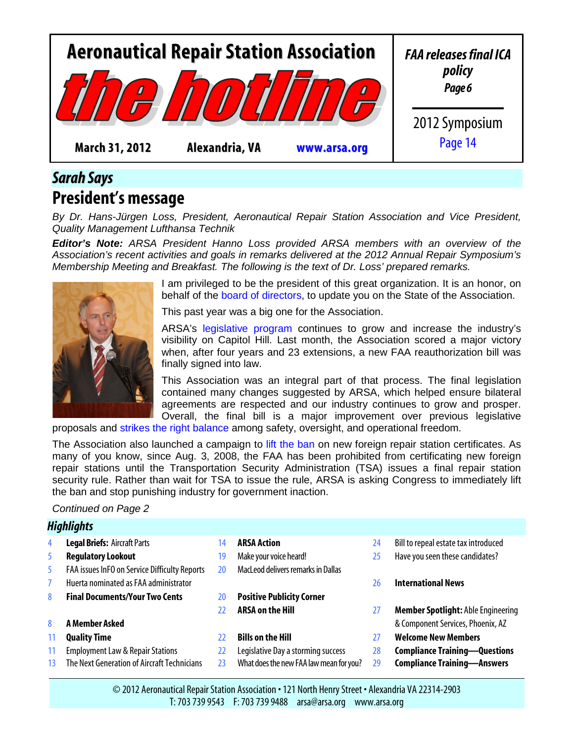<span id="page-0-0"></span>

### *Sarah Says* **President's message**

*By Dr. Hans-Jürgen Loss, President, Aeronautical Repair Station Association and Vice President, Quality Management Lufthansa Technik*

*Editor's Note: ARSA President Hanno Loss provided ARSA members with an overview of the Association's recent activities and goals in remarks delivered at the 2012 Annual Repair Symposium's Membership Meeting and Breakfast. The following is the text of Dr. Loss' prepared remarks.*



I am privileged to be the president of this great organization. It is an honor, on behalf of the [board of directors,](http://www.arsa.org/node/21) to update you on the State of the Association.

This past year was a big one for the Association.

ARSA's [legislative program](http://www.arsa.org/node/486) continues to grow and increase the industry's visibility on Capitol Hill. Last month, the Association scored a major victory when, after four years and 23 extensions, a new FAA reauthorization bill was finally signed into law.

This Association was an integral part of that process. The final legislation contained many changes suggested by ARSA, which helped ensure bilateral agreements are respected and our industry continues to grow and prosper. Overall, the final bill is a major improvement over previous legislative proposals and [strikes the right balance](http://www.arsa.org/?q=node/833) among safety, oversight, and operational freedom.

The Association also launched a campaign to [lift the ban](http://www.arsa.org/node/794) on new foreign repair station certificates. As many of you know, since Aug. 3, 2008, the FAA has been prohibited from certificating new foreign repair stations until the Transportation Security Administration (TSA) issues a final repair station security rule. Rather than wait for TSA to issue the rule, ARSA is asking Congress to immediately lift the ban and stop punishing industry for government inaction.

#### *Continued on Page 2*

|    | <b>Highlights</b>                             |    |                                         |    |                                           |
|----|-----------------------------------------------|----|-----------------------------------------|----|-------------------------------------------|
| 4  | <b>Legal Briefs: Aircraft Parts</b>           | 14 | <b>ARSA Action</b>                      | 24 | Bill to repeal estate tax introduced      |
| 5  | <b>Regulatory Lookout</b>                     | 19 | Make your voice heard!                  | 25 | Have you seen these candidates?           |
| 5  | FAA issues InFO on Service Difficulty Reports | 20 | MacLeod delivers remarks in Dallas      |    |                                           |
|    | Huerta nominated as FAA administrator         |    |                                         | 26 | <b>International News</b>                 |
| 8  | <b>Final Documents/Your Two Cents</b>         | 20 | <b>Positive Publicity Corner</b>        |    |                                           |
|    |                                               | 77 | <b>ARSA on the Hill</b>                 | 27 | <b>Member Spotlight: Able Engineering</b> |
| 8  | A Member Asked                                |    |                                         |    | & Component Services, Phoenix, AZ         |
| 11 | <b>Quality Time</b>                           | 22 | <b>Bills on the Hill</b>                | 27 | <b>Welcome New Members</b>                |
| 11 | <b>Employment Law &amp; Repair Stations</b>   | 22 | Legislative Day a storming success      | 28 | <b>Compliance Training-Questions</b>      |
| 13 | The Next Generation of Aircraft Technicians   | 23 | What does the new FAA law mean for you? | 29 | <b>Compliance Training-Answers</b>        |
|    |                                               |    |                                         |    |                                           |

© 2012 Aeronautical Repair Station Association • 121 North Henry Street • Alexandria VA 22314-2903 T: 703 739 9543 F: 703 739 9488 arsa@arsa.org www.arsa.org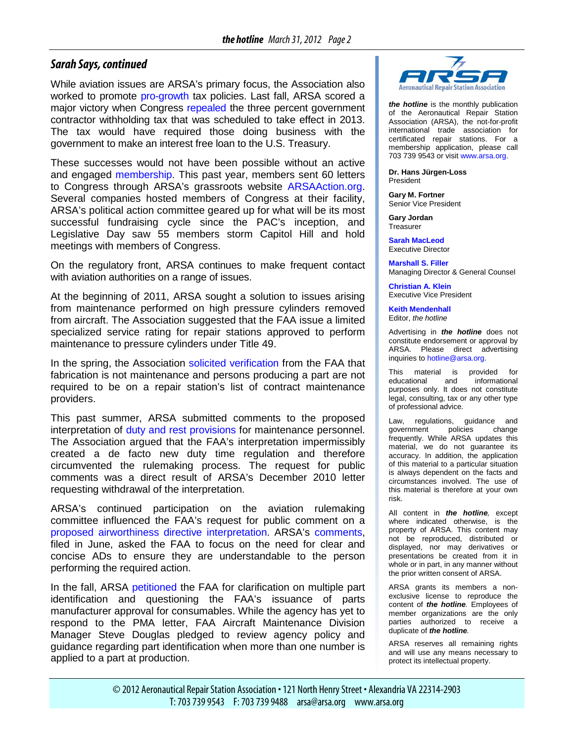#### *Sarah Says, continued*

While aviation issues are ARSA's primary focus, the Association also worked to promote [pro-growth](http://www.arsa.org/node/670) tax policies. Last fall, ARSA scored a major victory when Congress [repealed](http://www.arsa.org/node/789) the three percent government contractor withholding tax that was scheduled to take effect in 2013. The tax would have required those doing business with the government to make an interest free loan to the U.S. Treasury.

These successes would not have been possible without an active and engaged [membership.](http://www.arsa.org/node/16) This past year, members sent 60 letters to Congress through ARSA's grassroots website [ARSAAction.org.](http://www.arsaaction.org/) Several companies hosted members of Congress at their facility, ARSA's political action committee geared up for what will be its most successful fundraising cycle since the PAC's inception, and Legislative Day saw 55 members storm Capitol Hill and hold meetings with members of Congress.

On the regulatory front, ARSA continues to make frequent contact with aviation authorities on a range of issues.

At the beginning of 2011, ARSA sought a solution to issues arising from maintenance performed on high pressure cylinders removed from aircraft. The Association [suggested](http://www.arsa.org/files/ARSA-FAA-43v49Clarification-20110128.pdf) that the FAA issue a limited specialized service rating for repair stations approved to perform maintenance to pressure cylinders under Title 49.

In the spring, the Association [solicited](http://www.arsa.org/files/ARSA-MaintenanceFabrication-20110308.pdf) [verification](http://www.arsa.org/files/FAA-ResponseToMaintenanceFabrication-20110325.pdf) from the FAA that fabrication is not maintenance and persons producing a part are not required to be on a repair station's list of contract maintenance providers.

This past summer, ARSA submitted comments to the proposed interpretation of [duty and rest provisions](http://www.arsa.org/node/725) for maintenance personnel. The Association argued that the FAA's interpretation impermissibly created a de facto new duty time regulation and therefore circumvented the rulemaking process. The request for public comments was a direct result of ARSA's December 2010 letter requesting withdrawal of the interpretation.

ARSA's continued participation on the aviation rulemaking committee influenced the FAA's request for public comment on a [proposed airworthiness directive interpretation.](http://www.arsa.org/files/ARSA-ADProposedInterpretationComments-20110630.pdf) ARSA's [comments,](http://www.arsa.org/files/ARSA-ADProposedInterpretationComments-20110630.pdf) filed in June, asked the FAA to focus on the need for clear and concise ADs to ensure they are understandable to the person performing the required action.

In the fall, ARSA [petitioned](http://www.arsa.org/files/ARSA-ConsumablePMAIssue-20111027.pdf) the FAA for clarification on multiple part identification and questioning the FAA's issuance of parts manufacturer approval for consumables. While the agency has yet to respond to the PMA letter, FAA Aircraft Maintenance Division Manager Steve Douglas pledged to review agency policy and guidance regarding part identification when more than one number is applied to a part at production.



*the hotline* is the monthly publication of the Aeronautical Repair Station Association (ARSA), the not-for-profit international trade association for certificated repair stations. For a membership application, please call 703 739 9543 or visi[t www.arsa.org.](http://www.arsa.org/)

**Dr. Hans Jürgen-Loss** President

**Gary M. Fortner** Senior Vice President

**Gary Jordan Treasurer** 

**[Sarah MacLeod](mailto:Sarah.MacLeod@arsa.org)** Executive Director

**[Marshall S. Filler](mailto:Marshall.Filler@potomac-law.com)** Managing Director & General Counsel

**[Christian A.](mailto:Christian.Klein@arsa.org) Klein** Executive Vice President

**[Keith Mendenhall](mailto:Keith.Mendenhall@potomac-law.com)** Editor, *the hotline*

Advertising in *the hotline* does not constitute endorsement or approval by ARSA. Please direct advertising inquiries to [hotline@arsa.org.](mailto:hotline@arsa.org)

This material is provided for<br>educational and informational informational purposes only. It does not constitute legal, consulting, tax or any other type of professional advice.

Law, regulations, guidance and<br>government policies change government policies change frequently. While ARSA updates this material, we do not guarantee its accuracy. In addition, the application of this material to a particular situation is always dependent on the facts and circumstances involved. The use of this material is therefore at your own risk.

All content in *the hotline,* except where indicated otherwise, is the property of ARSA. This content may not be reproduced, distributed or displayed, nor may derivatives or presentations be created from it in whole or in part, in any manner without the prior written consent of ARSA.

ARSA grants its members a nonexclusive license to reproduce the content of *the hotline.* Employees of member organizations are the only parties authorized to receive a duplicate of *the hotline.*

ARSA reserves all remaining rights and will use any means necessary to protect its intellectual property.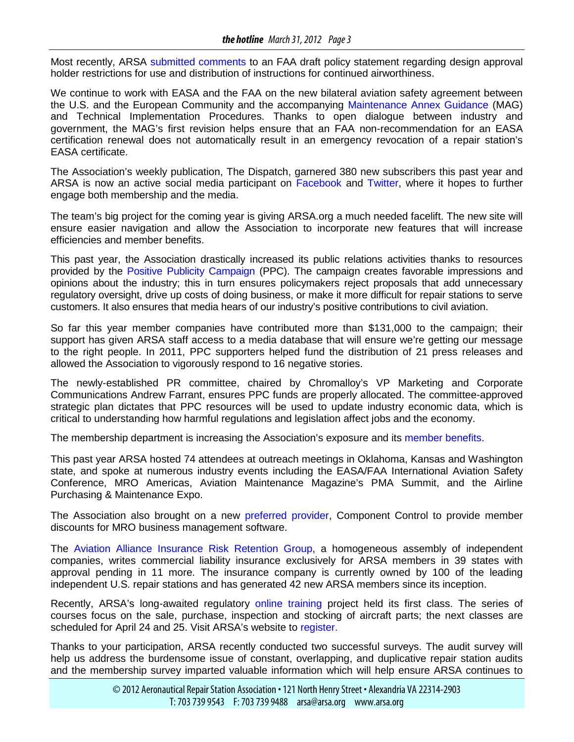Most recently, ARSA [submitted comments](http://www.arsa.org/files2/ARSAComments-AIRPolicy10011100002-DAHInappropriatePractices-20120104.pdf) to an FAA draft policy statement regarding design approval holder restrictions for use and distribution of instructions for continued airworthiness.

We continue to work with EASA and the FAA on the new bilateral aviation safety agreement between the U.S. and the European Community and the accompanying [Maintenance Annex Guidance](http://www.arsa.org/?q=node/832) (MAG) and Technical Implementation Procedures. Thanks to open dialogue between industry and government, the MAG's first revision helps ensure that an FAA non-recommendation for an EASA certification renewal does not automatically result in an emergency revocation of a repair station's EASA certificate.

The Association's weekly publication, The Dispatch, garnered 380 new subscribers this past year and ARSA is now an active social media participant on [Facebook a](http://www.facebook.com/AeronauticalRepairStationAssociation)nd [Twitter,](http://twitter.com/#!/ARSA_MRO) where it hopes to further engage both membership and the media.

The team's big project for the coming year is giving ARSA.org a much needed facelift. The new site will ensure easier navigation and allow the Association to incorporate new features that will increase efficiencies and member benefits.

This past year, the Association drastically increased its public relations activities thanks to resources provided by the [Positive Publicity Campaign](http://www.arsa.org/node/548) (PPC). The campaign creates favorable impressions and opinions about the industry; this in turn ensures policymakers reject proposals that add unnecessary regulatory oversight, drive up costs of doing business, or make it more difficult for repair stations to serve customers. It also ensures that media hears of our industry's positive contributions to civil aviation.

So far this year member companies have contributed more than \$131,000 to the campaign; their support has given ARSA staff access to a media database that will ensure we're getting our message to the right people. In 2011, PPC supporters helped fund the distribution of 21 press releases and allowed the Association to vigorously respond to 16 negative stories.

The newly-established PR committee, chaired by Chromalloy's VP Marketing and Corporate Communications Andrew Farrant, ensures PPC funds are properly allocated. The committee-approved strategic plan dictates that PPC resources will be used to update industry economic data, which is critical to understanding how harmful regulations and legislation affect jobs and the economy.

The membership department is increasing the Association's exposure and its [member benefits.](http://www.arsa.org/node/307)

This past year ARSA hosted 74 attendees at outreach meetings in Oklahoma, Kansas and Washington state, and spoke at numerous industry events including the EASA/FAA International Aviation Safety Conference, MRO Americas, Aviation Maintenance Magazine's PMA Summit, and the Airline Purchasing & Maintenance Expo.

The Association also brought on a new [preferred provider,](http://www.arsa.org/node/596) Component Control to provide member discounts for MRO business management software.

The [Aviation Alliance Insurance Risk Retention Group,](http://www.arsa.org/node/401) a homogeneous assembly of independent companies, writes commercial liability insurance exclusively for ARSA members in 39 states with approval pending in 11 more. The insurance company is currently owned by 100 of the leading independent U.S. repair stations and has generated 42 new ARSA members since its inception.

Recently, ARSA's long-awaited regulatory [online training](http://www.arsa.org/node/631) project held its first class. The series of courses focus on the sale, purchase, inspection and stocking of aircraft parts; the next classes are scheduled for April 24 and 25. Visit ARSA's website to [register.](http://www.arsa.org/node/631)

Thanks to your participation, ARSA recently conducted two successful surveys. The audit survey will help us address the burdensome issue of constant, overlapping, and duplicative repair station audits and the membership survey imparted valuable information which will help ensure ARSA continues to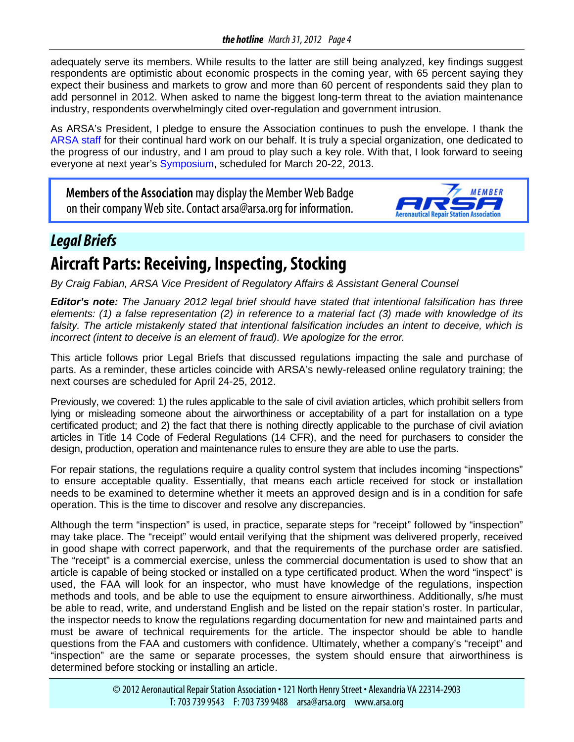<span id="page-3-0"></span>adequately serve its members. While results to the latter are still being analyzed, key findings suggest respondents are optimistic about economic prospects in the coming year, with 65 percent saying they expect their business and markets to grow and more than 60 percent of respondents said they plan to add personnel in 2012. When asked to name the biggest long-term threat to the aviation maintenance industry, respondents overwhelmingly cited over-regulation and government intrusion.

As ARSA's President, I pledge to ensure the Association continues to push the envelope. I thank the [ARSA staff](http://www.arsa.org/node/61) for their continual hard work on our behalf. It is truly a special organization, one dedicated to the progress of our industry, and I am proud to play such a key role. With that, I look forward to seeing everyone at next year's [Symposium,](http://www.arsa.org/node/377) scheduled for March 20-22, 2013.

**Members of the Association** may display the Member Web Badge on their company Web site. Contact arsa@arsa.org for information.



### *Legal Briefs*

## **Aircraft Parts: Receiving, Inspecting, Stocking**

*By Craig Fabian, ARSA Vice President of Regulatory Affairs & Assistant General Counsel*

*Editor's note: The January 2012 legal brief should have stated that intentional falsification has three elements: (1) a false representation (2) in reference to a material fact (3) made with knowledge of its falsity. The article mistakenly stated that intentional falsification includes an intent to deceive, which is incorrect (intent to deceive is an element of fraud). We apologize for the error.*

This article follows prior Legal Briefs that discussed regulations impacting the sale and purchase of parts. As a reminder, these articles coincide with ARSA's newly-released online regulatory training; the next courses are scheduled for April 24-25, 2012.

Previously, we covered: 1) the rules applicable to the sale of civil aviation articles, which prohibit sellers from lying or misleading someone about the airworthiness or acceptability of a part for installation on a type certificated product; and 2) the fact that there is nothing directly applicable to the purchase of civil aviation articles in Title 14 Code of Federal Regulations (14 CFR), and the need for purchasers to consider the design, production, operation and maintenance rules to ensure they are able to use the parts.

For repair stations, the regulations require a quality control system that includes incoming "inspections" to ensure acceptable quality. Essentially, that means each article received for stock or installation needs to be examined to determine whether it meets an approved design and is in a condition for safe operation. This is the time to discover and resolve any discrepancies.

Although the term "inspection" is used, in practice, separate steps for "receipt" followed by "inspection" may take place. The "receipt" would entail verifying that the shipment was delivered properly, received in good shape with correct paperwork, and that the requirements of the purchase order are satisfied. The "receipt" is a commercial exercise, unless the commercial documentation is used to show that an article is capable of being stocked or installed on a type certificated product. When the word "inspect" is used, the FAA will look for an inspector, who must have knowledge of the regulations, inspection methods and tools, and be able to use the equipment to ensure airworthiness. Additionally, s/he must be able to read, write, and understand English and be listed on the repair station's roster. In particular, the inspector needs to know the regulations regarding documentation for new and maintained parts and must be aware of technical requirements for the article. The inspector should be able to handle questions from the FAA and customers with confidence. Ultimately, whether a company's "receipt" and "inspection" are the same or separate processes, the system should ensure that airworthiness is determined before stocking or installing an article.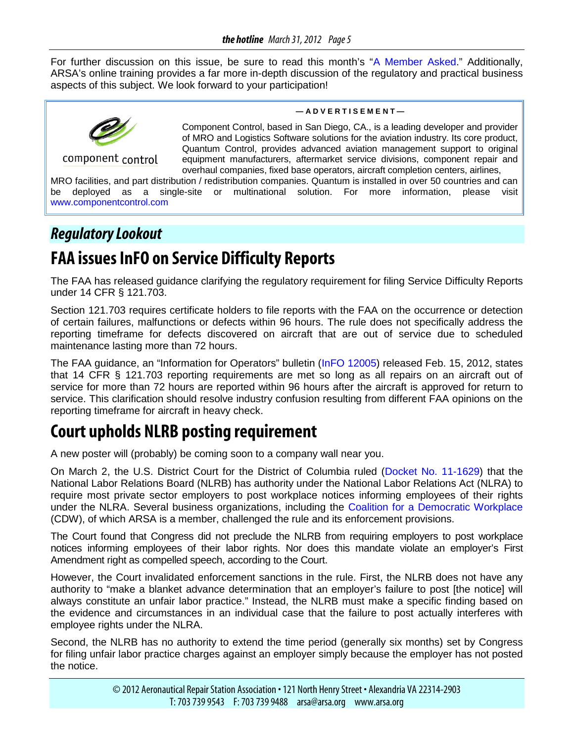<span id="page-4-0"></span>For further discussion on this issue, be sure to read this month's ["A Member Asked.](#page-7-0)" Additionally, ARSA's online training provides a far more in-depth discussion of the regulatory and practical business aspects of this subject. We look forward to your participation!



component control

**— A D V E R T I S E M E N T —**

Component Control, based in San Diego, CA., is a leading developer and provider of MRO and Logistics Software solutions for the aviation industry. Its core product, Quantum Control, provides advanced aviation management support to original equipment manufacturers, aftermarket service divisions, component repair and overhaul companies, fixed base operators, aircraft completion centers, airlines,

MRO facilities, and part distribution / redistribution companies. Quantum is installed in over 50 countries and can be deployed as a single-site or multinational solution. For more information, please visit [www.componentcontrol.com](http://www.componentcontrol.com/)

### *Regulatory Lookout*

## **FAA issues InFO on Service Difficulty Reports**

The FAA has released guidance clarifying the regulatory requirement for filing Service Difficulty Reports under 14 CFR § 121.703.

Section 121.703 requires certificate holders to file reports with the FAA on the occurrence or detection of certain failures, malfunctions or defects within 96 hours. The rule does not specifically address the reporting timeframe for defects discovered on aircraft that are out of service due to scheduled maintenance lasting more than 72 hours.

The FAA guidance, an "Information for Operators" bulletin [\(InFO 12005\)](http://www.faa.gov/other_visit/aviation_industry/airline_operators/airline_safety/info/all_infos/media/2012/InFO12005.pdf) released Feb. 15, 2012, states that 14 CFR § 121.703 reporting requirements are met so long as all repairs on an aircraft out of service for more than 72 hours are reported within 96 hours after the aircraft is approved for return to service. This clarification should resolve industry confusion resulting from different FAA opinions on the reporting timeframe for aircraft in heavy check.

## **Court upholds NLRB posting requirement**

A new poster will (probably) be coming soon to a company wall near you.

On March 2, the U.S. District Court for the District of Columbia ruled [\(Docket No. 11-1629\)](http://docs.justia.com/cases/federal/district-courts/district-of-columbia/dcdce/1:2011cv01629/150073/59/0.pdf?1330733748) that the National Labor Relations Board (NLRB) has authority under the National Labor Relations Act (NLRA) to require most private sector employers to post workplace notices informing employees of their rights under the NLRA. Several business organizations, including the [Coalition for a Democratic Workplace](http://myprivateballot.com/about/) (CDW), of which ARSA is a member, challenged the rule and its enforcement provisions.

The Court found that Congress did not preclude the NLRB from requiring employers to post workplace notices informing employees of their labor rights. Nor does this mandate violate an employer's First Amendment right as compelled speech, according to the Court.

However, the Court invalidated enforcement sanctions in the rule. First, the NLRB does not have any authority to "make a blanket advance determination that an employer's failure to post [the notice] will always constitute an unfair labor practice." Instead, the NLRB must make a specific finding based on the evidence and circumstances in an individual case that the failure to post actually interferes with employee rights under the NLRA.

Second, the NLRB has no authority to extend the time period (generally six months) set by Congress for filing unfair labor practice charges against an employer simply because the employer has not posted the notice.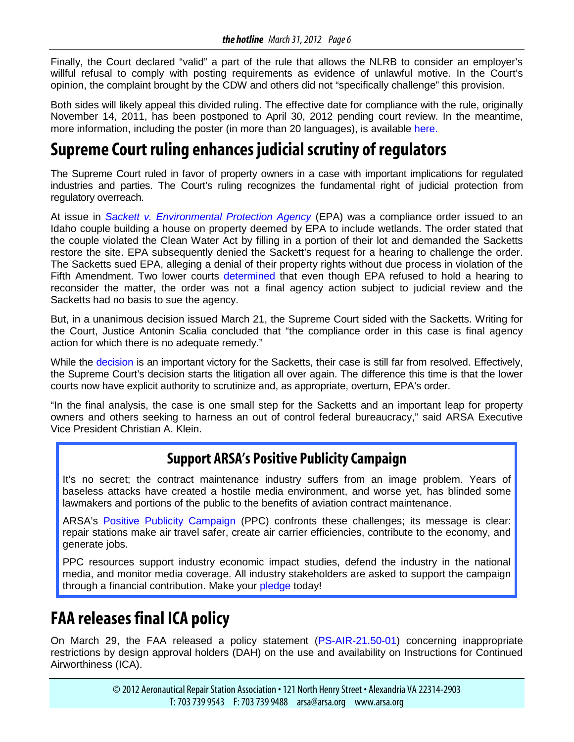Finally, the Court declared "valid" a part of the rule that allows the NLRB to consider an employer's willful refusal to comply with posting requirements as evidence of unlawful motive. In the Court's opinion, the complaint brought by the CDW and others did not "specifically challenge" this provision.

Both sides will likely appeal this divided ruling. The effective date for compliance with the rule, originally November 14, 2011, has been postponed to April 30, 2012 pending court review. In the meantime, more information, including the poster (in more than 20 languages), is available [here.](https://www.nlrb.gov/poster)

## **Supreme Court ruling enhances judicial scrutiny of regulators**

The Supreme Court ruled in favor of property owners in a case with important implications for regulated industries and parties. The Court's ruling recognizes the fundamental right of judicial protection from regulatory overreach.

At issue in *[Sackett v. Environmental Protection Agency](http://www.supremecourt.gov/opinions/11pdf/10-1062.pdf)* (EPA) was a compliance order issued to an Idaho couple building a house on property deemed by EPA to include wetlands. The order stated that the couple violated the Clean Water Act by filling in a portion of their lot and demanded the Sacketts restore the site. EPA subsequently denied the Sackett's request for a hearing to challenge the order. The Sacketts sued EPA, alleging a denial of their property rights without due process in violation of the Fifth Amendment. Two lower courts [determined](http://www.scotusblog.com/case-files/cases/sackett-et-vir-v-environmental-protection-agency-et-al/) that even though EPA refused to hold a hearing to reconsider the matter, the order was not a final agency action subject to judicial review and the Sacketts had no basis to sue the agency.

But, in a unanimous decision issued March 21, the Supreme Court sided with the Sacketts. Writing for the Court, Justice Antonin Scalia concluded that "the compliance order in this case is final agency action for which there is no adequate remedy."

While the [decision](http://www.supremecourt.gov/opinions/11pdf/10-1062.pdf) is an important victory for the Sacketts, their case is still far from resolved. Effectively, the Supreme Court's decision starts the litigation all over again. The difference this time is that the lower courts now have explicit authority to scrutinize and, as appropriate, overturn, EPA's order.

"In the final analysis, the case is one small step for the Sacketts and an important leap for property owners and others seeking to harness an out of control federal bureaucracy," said ARSA Executive Vice President Christian A. Klein.

### **Support ARSA's Positive Publicity Campaign**

It's no secret; the contract maintenance industry suffers from an image problem. Years of baseless attacks have created a hostile media environment, and worse yet, has blinded some lawmakers and portions of the public to the benefits of aviation contract maintenance.

ARSA's [Positive Publicity Campaign](http://www.arsa.org/node/548) (PPC) confronts these challenges; its message is clear: repair stations make air travel safer, create air carrier efficiencies, contribute to the economy, and generate jobs.

PPC resources support industry economic impact studies, defend the industry in the national media, and monitor media coverage. All industry stakeholders are asked to support the campaign through a financial contribution. Make your [pledge](http://www.arsa.org/node/740) today!

## **FAA releases final ICA policy**

On March 29, the FAA released a policy statement [\(PS-AIR-21.50-01\)](http://rgl.faa.gov/Regulatory_and_Guidance_Library/rgPolicy.nsf/0/757c84ac9becec27862579d00054df95/$FILE/PS-AIR-21.50-01.pdf) concerning inappropriate restrictions by design approval holders (DAH) on the use and availability on Instructions for Continued Airworthiness (ICA).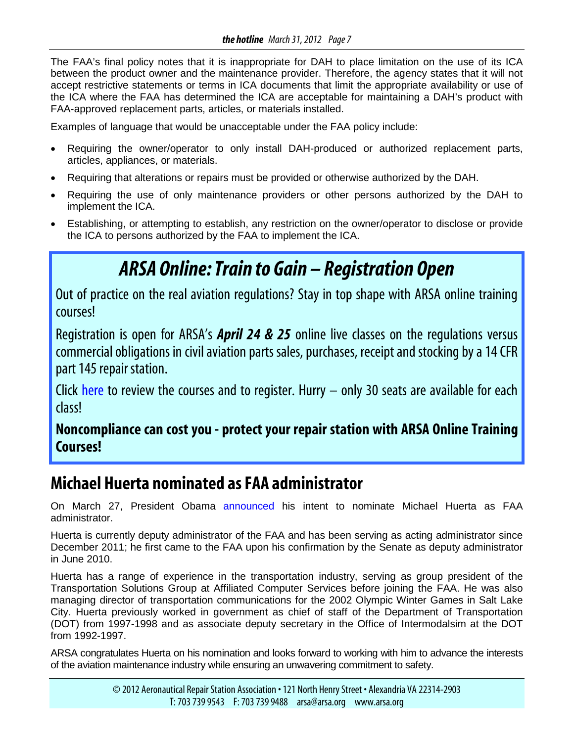<span id="page-6-0"></span>The FAA's final policy notes that it is inappropriate for DAH to place limitation on the use of its ICA between the product owner and the maintenance provider. Therefore, the agency states that it will not accept restrictive statements or terms in ICA documents that limit the appropriate availability or use of the ICA where the FAA has determined the ICA are acceptable for maintaining a DAH's product with FAA-approved replacement parts, articles, or materials installed.

Examples of language that would be unacceptable under the FAA policy include:

- Requiring the owner/operator to only install DAH-produced or authorized replacement parts, articles, appliances, or materials.
- Requiring that alterations or repairs must be provided or otherwise authorized by the DAH.
- Requiring the use of only maintenance providers or other persons authorized by the DAH to implement the ICA.
- Establishing, or attempting to establish, any restriction on the owner/operator to disclose or provide the ICA to persons authorized by the FAA to implement the ICA.

# *ARSA Online: Train to Gain – Registration Open*

Out of practice on the real aviation regulations? Stay in top shape with ARSA online training courses!

Registration is open for ARSA's *April 24 & 25* online live classes on the regulations versus commercial obligations in civil aviation parts sales, purchases, receipt and stocking by a 14 CFR part 145 repair station.

Click [here](http://www.arsa.org/?q=node/631) to review the courses and to register. Hurry  $-$  only 30 seats are available for each class!

**Noncompliance can cost you - protect your repair station with ARSA Online Training Courses!**

## **Michael Huerta nominated as FAA administrator**

On March 27, President Obama [announced](http://www.whitehouse.gov/the-press-office/2012/03/27/president-obama-announces-more-key-administration-posts) his intent to nominate Michael Huerta as FAA administrator.

Huerta is currently deputy administrator of the FAA and has been serving as acting administrator since December 2011; he first came to the FAA upon his confirmation by the Senate as deputy administrator in June 2010.

Huerta has a range of experience in the transportation industry, serving as group president of the Transportation Solutions Group at Affiliated Computer Services before joining the FAA. He was also managing director of transportation communications for the 2002 Olympic Winter Games in Salt Lake City. Huerta previously worked in government as chief of staff of the Department of Transportation (DOT) from 1997-1998 and as associate deputy secretary in the Office of Intermodalsim at the DOT from 1992-1997.

ARSA congratulates Huerta on his nomination and looks forward to working with him to advance the interests of the aviation maintenance industry while ensuring an unwavering commitment to safety.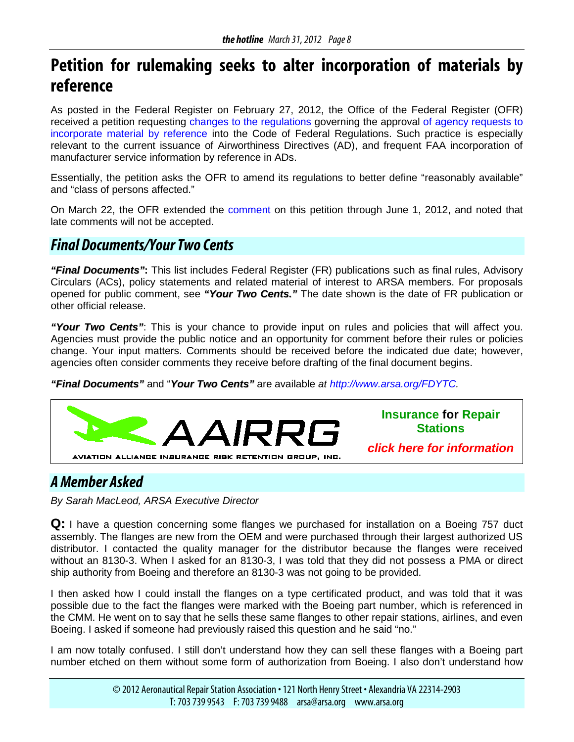## <span id="page-7-0"></span>**Petition for rulemaking seeks to alter incorporation of materials by reference**

As posted in the Federal Register on February 27, 2012, the Office of the Federal Register (OFR) received a petition requesting [changes to the regulations](http://www.gpo.gov/fdsys/pkg/FR-2012-02-27/pdf/2012-4399.pdf) governing the approval [of agency requests to](http://www.gpo.gov/fdsys/pkg/FR-2012-02-27/pdf/2012-4399.pdf)  [incorporate material by reference](http://www.gpo.gov/fdsys/pkg/FR-2012-02-27/pdf/2012-4399.pdf) into the Code of Federal Regulations. Such practice is especially relevant to the current issuance of Airworthiness Directives (AD), and frequent FAA incorporation of manufacturer service information by reference in ADs.

Essentially, the petition asks the OFR to amend its regulations to better define "reasonably available" and "class of persons affected."

On March 22, the OFR extended the [comment](http://www.regulations.gov/#!searchResults;rpp=25;po=0;s=NARA%252B12-0002) on this petition through June 1, 2012, and noted that late comments will not be accepted.

### *Final Documents/Your Two Cents*

*"Final Documents"***:** This list includes Federal Register (FR) publications such as final rules, Advisory Circulars (ACs), policy statements and related material of interest to ARSA members. For proposals opened for public comment, see *"Your Two Cents."* The date shown is the date of FR publication or other official release.

*"Your Two Cents"*: This is your chance to provide input on rules and policies that will affect you. Agencies must provide the public notice and an opportunity for comment before their rules or policies change. Your input matters. Comments should be received before the indicated due date; however, agencies often consider comments they receive before drafting of the final document begins.

*"Final Documents"* and "*Your Two Cents"* are available *at [http://www.arsa.org/FDYTC.](http://www.arsa.org/node/545)*



### *A Member Asked*

*By Sarah MacLeod, ARSA Executive Director*

**Q:** I have a question concerning some flanges we purchased for installation on a Boeing 757 duct assembly. The flanges are new from the OEM and were purchased through their largest authorized US distributor. I contacted the quality manager for the distributor because the flanges were received without an 8130-3. When I asked for an 8130-3, I was told that they did not possess a PMA or direct ship authority from Boeing and therefore an 8130-3 was not going to be provided.

I then asked how I could install the flanges on a type certificated product, and was told that it was possible due to the fact the flanges were marked with the Boeing part number, which is referenced in the CMM. He went on to say that he sells these same flanges to other repair stations, airlines, and even Boeing. I asked if someone had previously raised this question and he said "no."

I am now totally confused. I still don't understand how they can sell these flanges with a Boeing part number etched on them without some form of authorization from Boeing. I also don't understand how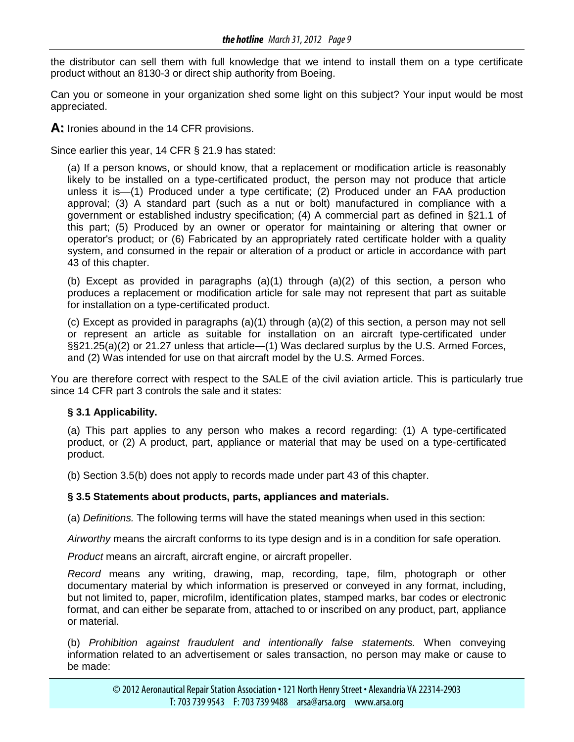the distributor can sell them with full knowledge that we intend to install them on a type certificate product without an 8130-3 or direct ship authority from Boeing.

Can you or someone in your organization shed some light on this subject? Your input would be most appreciated.

**A:** Ironies abound in the 14 CFR provisions.

Since earlier this year, 14 CFR § 21.9 has stated:

(a) If a person knows, or should know, that a replacement or modification article is reasonably likely to be installed on a type-certificated product, the person may not produce that article unless it is—(1) Produced under a type certificate; (2) Produced under an FAA production approval; (3) A standard part (such as a nut or bolt) manufactured in compliance with a government or established industry specification; (4) A commercial part as defined in §21.1 of this part; (5) Produced by an owner or operator for maintaining or altering that owner or operator's product; or (6) Fabricated by an appropriately rated certificate holder with a quality system, and consumed in the repair or alteration of a product or article in accordance with part 43 of this chapter.

(b) Except as provided in paragraphs  $(a)(1)$  through  $(a)(2)$  of this section, a person who produces a replacement or modification article for sale may not represent that part as suitable for installation on a type-certificated product.

(c) Except as provided in paragraphs (a)(1) through (a)(2) of this section, a person may not sell or represent an article as suitable for installation on an aircraft type-certificated under §§21.25(a)(2) or 21.27 unless that article—(1) Was declared surplus by the U.S. Armed Forces, and (2) Was intended for use on that aircraft model by the U.S. Armed Forces.

You are therefore correct with respect to the SALE of the civil aviation article. This is particularly true since 14 CFR part 3 controls the sale and it states:

#### **§ 3.1 Applicability.**

(a) This part applies to any person who makes a record regarding: (1) A type-certificated product, or (2) A product, part, appliance or material that may be used on a type-certificated product.

(b) Section 3.5(b) does not apply to records made under part 43 of this chapter.

#### **§ 3.5 Statements about products, parts, appliances and materials.**

(a) *Definitions.* The following terms will have the stated meanings when used in this section:

*Airworthy* means the aircraft conforms to its type design and is in a condition for safe operation.

*Product* means an aircraft, aircraft engine, or aircraft propeller.

*Record* means any writing, drawing, map, recording, tape, film, photograph or other documentary material by which information is preserved or conveyed in any format, including, but not limited to, paper, microfilm, identification plates, stamped marks, bar codes or electronic format, and can either be separate from, attached to or inscribed on any product, part, appliance or material.

(b) *Prohibition against fraudulent and intentionally false statements.* When conveying information related to an advertisement or sales transaction, no person may make or cause to be made: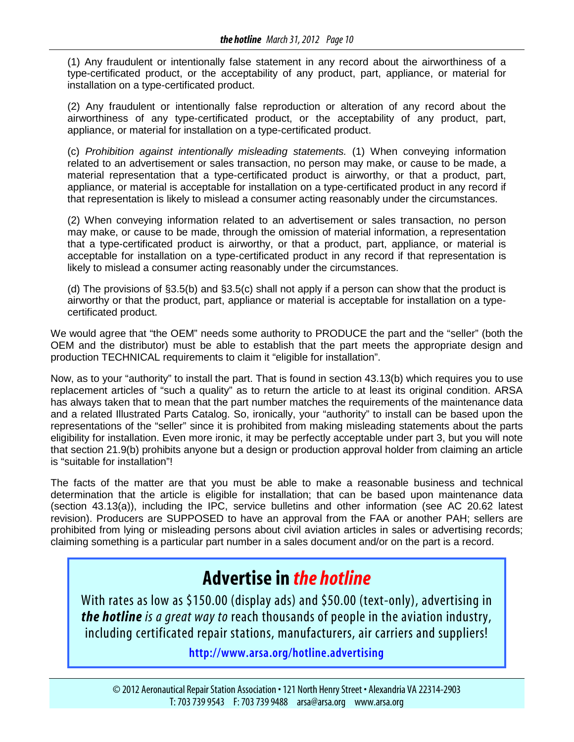(1) Any fraudulent or intentionally false statement in any record about the airworthiness of a type-certificated product, or the acceptability of any product, part, appliance, or material for installation on a type-certificated product.

(2) Any fraudulent or intentionally false reproduction or alteration of any record about the airworthiness of any type-certificated product, or the acceptability of any product, part, appliance, or material for installation on a type-certificated product.

(c) *Prohibition against intentionally misleading statements.* (1) When conveying information related to an advertisement or sales transaction, no person may make, or cause to be made, a material representation that a type-certificated product is airworthy, or that a product, part, appliance, or material is acceptable for installation on a type-certificated product in any record if that representation is likely to mislead a consumer acting reasonably under the circumstances.

(2) When conveying information related to an advertisement or sales transaction, no person may make, or cause to be made, through the omission of material information, a representation that a type-certificated product is airworthy, or that a product, part, appliance, or material is acceptable for installation on a type-certificated product in any record if that representation is likely to mislead a consumer acting reasonably under the circumstances.

(d) The provisions of §3.5(b) and §3.5(c) shall not apply if a person can show that the product is airworthy or that the product, part, appliance or material is acceptable for installation on a typecertificated product.

We would agree that "the OEM" needs some authority to PRODUCE the part and the "seller" (both the OEM and the distributor) must be able to establish that the part meets the appropriate design and production TECHNICAL requirements to claim it "eligible for installation".

Now, as to your "authority" to install the part. That is found in section 43.13(b) which requires you to use replacement articles of "such a quality" as to return the article to at least its original condition. ARSA has always taken that to mean that the part number matches the requirements of the maintenance data and a related Illustrated Parts Catalog. So, ironically, your "authority" to install can be based upon the representations of the "seller" since it is prohibited from making misleading statements about the parts eligibility for installation. Even more ironic, it may be perfectly acceptable under part 3, but you will note that section 21.9(b) prohibits anyone but a design or production approval holder from claiming an article is "suitable for installation"!

The facts of the matter are that you must be able to make a reasonable business and technical determination that the article is eligible for installation; that can be based upon maintenance data (section 43.13(a)), including the IPC, service bulletins and other information (see AC 20.62 latest revision). Producers are SUPPOSED to have an approval from the FAA or another PAH; sellers are prohibited from lying or misleading persons about civil aviation articles in sales or advertising records; claiming something is a particular part number in a sales document and/or on the part is a record.

## **Advertise in** *the hotline*

With rates as low as \$150.00 (display ads) and \$50.00 (text-only), advertising in *the hotline is a great way to* reach thousands of people in the aviation industry, including certificated repair stations, manufacturers, air carriers and suppliers!

**[http://www.arsa.org/hotline.advertising](http://www.arsa.org/node/8)**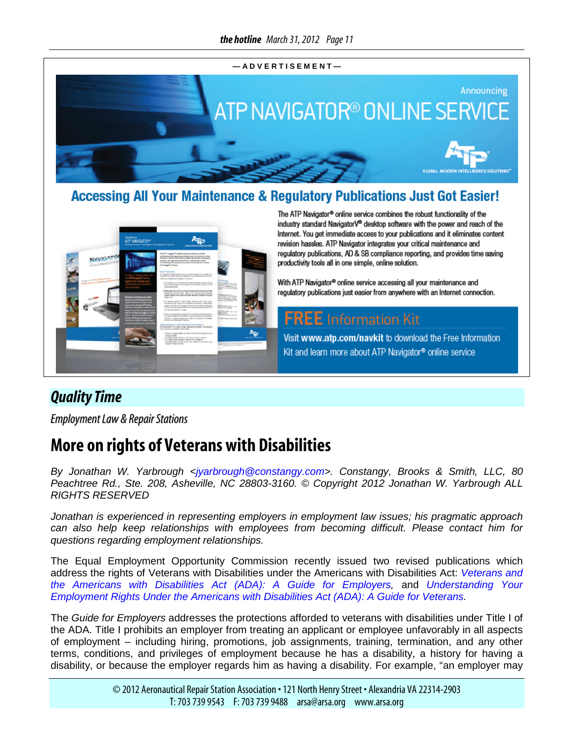<span id="page-10-0"></span>

### **Accessing All Your Maintenance & Regulatory Publications Just Got Easier!**



The ATP Navigator® online service combines the robust functionality of the industry standard NavigatorV® desktop software with the power and reach of the Internet. You get immediate access to your publications and it eliminates content revision hassles. ATP Navigator integrates your critical maintenance and regulatory publications, AD & SB compliance reporting, and provides time saving productivity tools all in one simple, online solution.

With ATP Navigator® online service accessing all your maintenance and regulatory publications just easier from anywhere with an Internet connection.

### **FREE** Information Kit

Visit www.atp.com/navkit to download the Free Information Kit and learn more about ATP Navigator® online service

### *Quality Time*

*Employment Law & Repair Stations* 

## **More on rights of Veterans with Disabilities**

*By Jonathan W. Yarbrough <jyarbrough@constangy.com>. Constangy, Brooks & Smith, LLC, 80 Peachtree Rd., Ste. 208, Asheville, NC 28803-3160. © Copyright 2012 Jonathan W. Yarbrough ALL RIGHTS RESERVED*

*Jonathan is experienced in representing employers in employment law issues; his pragmatic approach can also help keep relationships with employees from becoming difficult. Please contact him for questions regarding employment relationships.*

The Equal Employment Opportunity Commission recently issued two revised publications which address the rights of Veterans with Disabilities under the Americans with Disabilities Act: *[Veterans and](http://www.eeoc.gov/eeoc/publications/ada_veterans_employers.cfm)  [the Americans with Disabilities Act \(ADA\): A Guide for Employers,](http://www.eeoc.gov/eeoc/publications/ada_veterans_employers.cfm)* and *[Understanding Your](http://www1.eeoc.gov/eeoc/publications/ada_veterans.cfm?renderforprint=1)  [Employment Rights Under the Americans with Disabilities Act \(ADA\): A Guide for Veterans.](http://www1.eeoc.gov/eeoc/publications/ada_veterans.cfm?renderforprint=1)*

The *Guide for Employers* addresses the protections afforded to veterans with disabilities under Title I of the ADA. Title I prohibits an employer from treating an applicant or employee unfavorably in all aspects of employment – including hiring, promotions, job assignments, training, termination, and any other terms, conditions, and privileges of employment because he has a disability, a history for having a disability, or because the employer regards him as having a disability. For example, "an employer may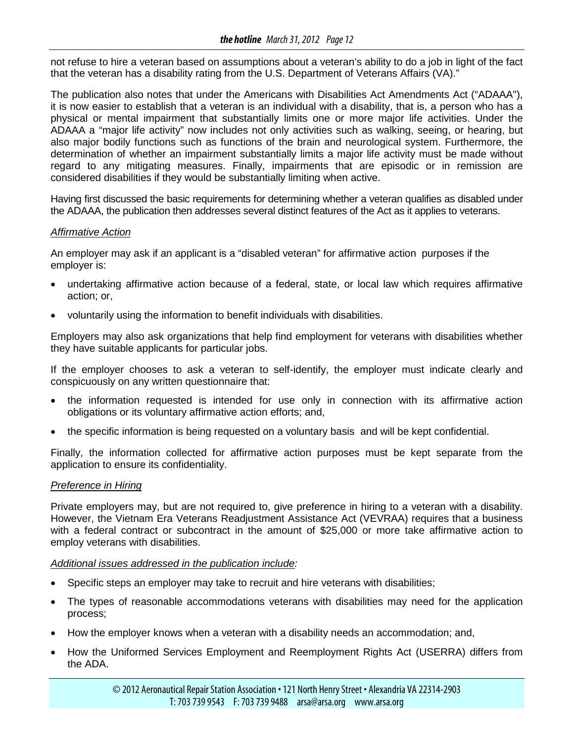not refuse to hire a veteran based on assumptions about a veteran's ability to do a job in light of the fact that the veteran has a disability rating from the U.S. Department of Veterans Affairs (VA)."

The publication also notes that under the Americans with Disabilities Act Amendments Act ("ADAAA"), it is now easier to establish that a veteran is an individual with a disability, that is, a person who has a physical or mental impairment that substantially limits one or more major life activities. Under the ADAAA a "major life activity" now includes not only activities such as walking, seeing, or hearing, but also major bodily functions such as functions of the brain and neurological system. Furthermore, the determination of whether an impairment substantially limits a major life activity must be made without regard to any mitigating measures. Finally, impairments that are episodic or in remission are considered disabilities if they would be substantially limiting when active.

Having first discussed the basic requirements for determining whether a veteran qualifies as disabled under the ADAAA, the publication then addresses several distinct features of the Act as it applies to veterans.

#### *Affirmative Action*

An employer may ask if an applicant is a "disabled veteran" for affirmative action purposes if the employer is:

- undertaking affirmative action because of a federal, state, or local law which requires affirmative action; or,
- voluntarily using the information to benefit individuals with disabilities.

Employers may also ask organizations that help find employment for veterans with disabilities whether they have suitable applicants for particular jobs.

If the employer chooses to ask a veteran to self-identify, the employer must indicate clearly and conspicuously on any written questionnaire that:

- the information requested is intended for use only in connection with its affirmative action obligations or its voluntary affirmative action efforts; and,
- the specific information is being requested on a voluntary basis and will be kept confidential.

Finally, the information collected for affirmative action purposes must be kept separate from the application to ensure its confidentiality.

#### *Preference in Hiring*

Private employers may, but are not required to, give preference in hiring to a veteran with a disability. However, the Vietnam Era Veterans Readjustment Assistance Act (VEVRAA) requires that a business with a federal contract or subcontract in the amount of \$25,000 or more take affirmative action to employ veterans with disabilities.

#### *Additional issues addressed in the publication include:*

- Specific steps an employer may take to recruit and hire veterans with disabilities;
- The types of reasonable accommodations veterans with disabilities may need for the application process;
- How the employer knows when a veteran with a disability needs an accommodation; and,
- How the Uniformed Services Employment and Reemployment Rights Act (USERRA) differs from the ADA.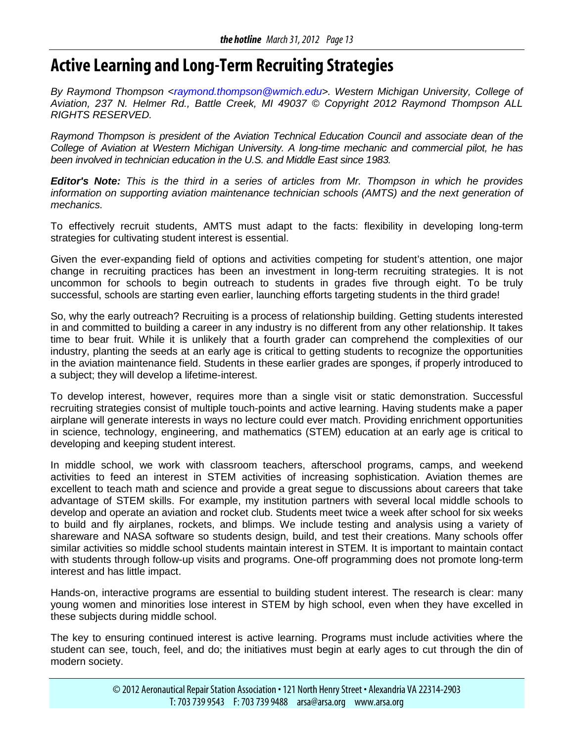## <span id="page-12-0"></span>**Active Learning and Long-Term Recruiting Strategies**

*By Raymond Thompson [<raymond.thompson@wmich.edu>](mailto:raymond.thompson@wmich.edu). Western Michigan University, College of Aviation, 237 N. Helmer Rd., Battle Creek, MI 49037 © Copyright 2012 Raymond Thompson ALL RIGHTS RESERVED.*

*Raymond Thompson is president of the Aviation Technical Education Council and associate dean of the College of Aviation at Western Michigan University. A long-time mechanic and commercial pilot, he has been involved in technician education in the U.S. and Middle East since 1983.*

*Editor's Note: This is the third in a series of articles from Mr. Thompson in which he provides information on supporting aviation maintenance technician schools (AMTS) and the next generation of mechanics.*

To effectively recruit students, AMTS must adapt to the facts: flexibility in developing long-term strategies for cultivating student interest is essential.

Given the ever-expanding field of options and activities competing for student's attention, one major change in recruiting practices has been an investment in long-term recruiting strategies. It is not uncommon for schools to begin outreach to students in grades five through eight. To be truly successful, schools are starting even earlier, launching efforts targeting students in the third grade!

So, why the early outreach? Recruiting is a process of relationship building. Getting students interested in and committed to building a career in any industry is no different from any other relationship. It takes time to bear fruit. While it is unlikely that a fourth grader can comprehend the complexities of our industry, planting the seeds at an early age is critical to getting students to recognize the opportunities in the aviation maintenance field. Students in these earlier grades are sponges, if properly introduced to a subject; they will develop a lifetime-interest.

To develop interest, however, requires more than a single visit or static demonstration. Successful recruiting strategies consist of multiple touch-points and active learning. Having students make a paper airplane will generate interests in ways no lecture could ever match. Providing enrichment opportunities in science, technology, engineering, and mathematics (STEM) education at an early age is critical to developing and keeping student interest.

In middle school, we work with classroom teachers, afterschool programs, camps, and weekend activities to feed an interest in STEM activities of increasing sophistication. Aviation themes are excellent to teach math and science and provide a great segue to discussions about careers that take advantage of STEM skills. For example, my institution partners with several local middle schools to develop and operate an aviation and rocket club. Students meet twice a week after school for six weeks to build and fly airplanes, rockets, and blimps. We include testing and analysis using a variety of shareware and NASA software so students design, build, and test their creations. Many schools offer similar activities so middle school students maintain interest in STEM. It is important to maintain contact with students through follow-up visits and programs. One-off programming does not promote long-term interest and has little impact.

Hands-on, interactive programs are essential to building student interest. The research is clear: many young women and minorities lose interest in STEM by high school, even when they have excelled in these subjects during middle school.

The key to ensuring continued interest is active learning. Programs must include activities where the student can see, touch, feel, and do; the initiatives must begin at early ages to cut through the din of modern society.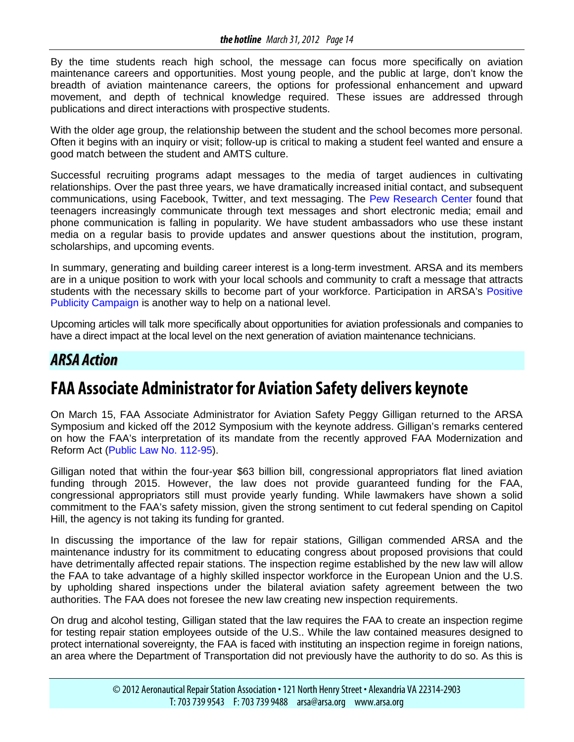<span id="page-13-0"></span>By the time students reach high school, the message can focus more specifically on aviation maintenance careers and opportunities. Most young people, and the public at large, don't know the breadth of aviation maintenance careers, the options for professional enhancement and upward movement, and depth of technical knowledge required. These issues are addressed through publications and direct interactions with prospective students.

With the older age group, the relationship between the student and the school becomes more personal. Often it begins with an inquiry or visit; follow-up is critical to making a student feel wanted and ensure a good match between the student and AMTS culture.

Successful recruiting programs adapt messages to the media of target audiences in cultivating relationships. Over the past three years, we have dramatically increased initial contact, and subsequent communications, using Facebook, Twitter, and text messaging. The [Pew Research Center](http://pewresearch.org/pubs/2223/teens-cellphones-texting-phone-calls) found that teenagers increasingly communicate through text messages and short electronic media; email and phone communication is falling in popularity. We have student ambassadors who use these instant media on a regular basis to provide updates and answer questions about the institution, program, scholarships, and upcoming events.

In summary, generating and building career interest is a long-term investment. ARSA and its members are in a unique position to work with your local schools and community to craft a message that attracts students with the necessary skills to become part of your workforce. Participation in ARSA's [Positive](http://www.arsa.org/node/548)  [Publicity Campaign](http://www.arsa.org/node/548) is another way to help on a national level.

Upcoming articles will talk more specifically about opportunities for aviation professionals and companies to have a direct impact at the local level on the next generation of aviation maintenance technicians.

### *ARSA Action*

## **FAA Associate Administrator for Aviation Safety delivers keynote**

On March 15, FAA Associate Administrator for Aviation Safety Peggy Gilligan returned to the ARSA Symposium and kicked off the 2012 Symposium with the keynote address. Gilligan's remarks centered on how the FAA's interpretation of its mandate from the recently approved FAA Modernization and Reform Act [\(Public Law No. 112-95\)](http://www.gpo.gov/fdsys/pkg/PLAW-112publ95/html/PLAW-112publ95.htm).

Gilligan noted that within the four-year \$63 billion bill, congressional appropriators flat lined aviation funding through 2015. However, the law does not provide guaranteed funding for the FAA, congressional appropriators still must provide yearly funding. While lawmakers have shown a solid commitment to the FAA's safety mission, given the strong sentiment to cut federal spending on Capitol Hill, the agency is not taking its funding for granted.

In discussing the importance of the law for repair stations, Gilligan commended ARSA and the maintenance industry for its commitment to educating congress about proposed provisions that could have detrimentally affected repair stations. The inspection regime established by the new law will allow the FAA to take advantage of a highly skilled inspector workforce in the European Union and the U.S. by upholding shared inspections under the bilateral aviation safety agreement between the two authorities. The FAA does not foresee the new law creating new inspection requirements.

On drug and alcohol testing, Gilligan stated that the law requires the FAA to create an inspection regime for testing repair station employees outside of the U.S.. While the law contained measures designed to protect international sovereignty, the FAA is faced with instituting an inspection regime in foreign nations, an area where the Department of Transportation did not previously have the authority to do so. As this is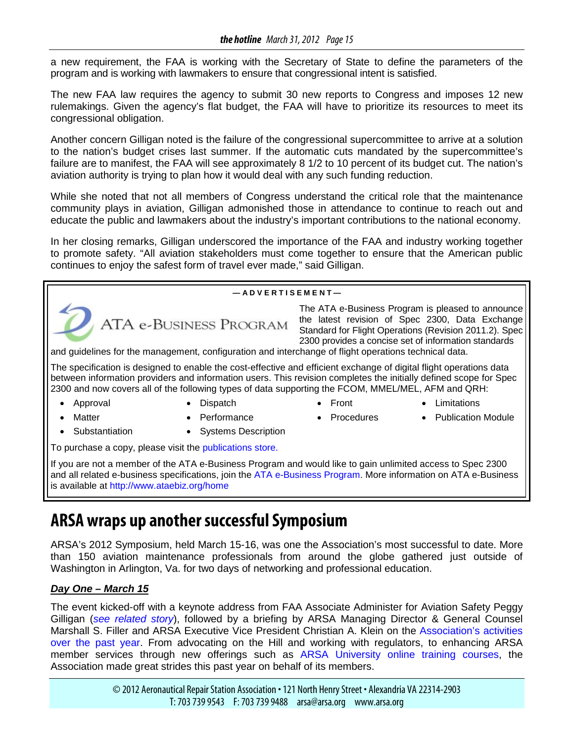a new requirement, the FAA is working with the Secretary of State to define the parameters of the program and is working with lawmakers to ensure that congressional intent is satisfied.

The new FAA law requires the agency to submit 30 new reports to Congress and imposes 12 new rulemakings. Given the agency's flat budget, the FAA will have to prioritize its resources to meet its congressional obligation.

Another concern Gilligan noted is the failure of the congressional supercommittee to arrive at a solution to the nation's budget crises last summer. If the automatic cuts mandated by the supercommittee's failure are to manifest, the FAA will see approximately 8 1/2 to 10 percent of its budget cut. The nation's aviation authority is trying to plan how it would deal with any such funding reduction.

While she noted that not all members of Congress understand the critical role that the maintenance community plays in aviation, Gilligan admonished those in attendance to continue to reach out and educate the public and lawmakers about the industry's important contributions to the national economy.

In her closing remarks, Gilligan underscored the importance of the FAA and industry working together to promote safety. "All aviation stakeholders must come together to ensure that the American public continues to enjoy the safest form of travel ever made," said Gilligan.

#### **— A D V E R T I S E M E N T —**



The ATA e-Business Program is pleased to announce the latest revision of Spec 2300, Data Exchange Standard for Flight Operations (Revision 2011.2). Spec 2300 provides a concise set of information standards

and guidelines for the management, configuration and interchange of flight operations technical data.

The specification is designed to enable the cost-effective and efficient exchange of digital flight operations data between information providers and information users. This revision completes the initially defined scope for Spec 2300 and now covers all of the following types of data supporting the FCOM, MMEL/MEL, AFM and QRH:

- 
- Approval Dispatch Front Limitations
- - Matter Performance Procedures Publication Module
- 
- -
	- Substantiation Systems Description
		-

To purchase a copy, please visit the [publications store.](http://atae-businessannouncements.createsend2.com/t/y/l/yhiyjkk/kuyhydthh/r/)

If you are not a member of the ATA e-Business Program and would like to gain unlimited access to Spec 2300 and all related e-business specifications, join the [ATA e-Business Program.](http://atae-businessannouncements.createsend2.com/t/y/l/yhiyjkk/kuyhydthh/y/) More information on ATA e-Business is available at<http://www.ataebiz.org/home>

## **ARSA wraps up another successful Symposium**

ARSA's 2012 Symposium, held March 15-16, was one the Association's most successful to date. More than 150 aviation maintenance professionals from around the globe gathered just outside of Washington in Arlington, Va. for two days of networking and professional education.

#### *Day One – March 15*

The event kicked-off with a keynote address from FAA Associate Administer for Aviation Safety Peggy Gilligan (*[see related story](#page-13-0)*), followed by a briefing by ARSA Managing Director & General Counsel Marshall S. Filler and ARSA Executive Vice President Christian A. Klein on the [Association's activities](http://www.arsa.org/node/846)  [over the past year.](http://www.arsa.org/node/846) From advocating on the Hill and working with regulators, to enhancing ARSA member services through new offerings such as [ARSA University online training courses,](http://www.arsa.org/node/631) the Association made great strides this past year on behalf of its members.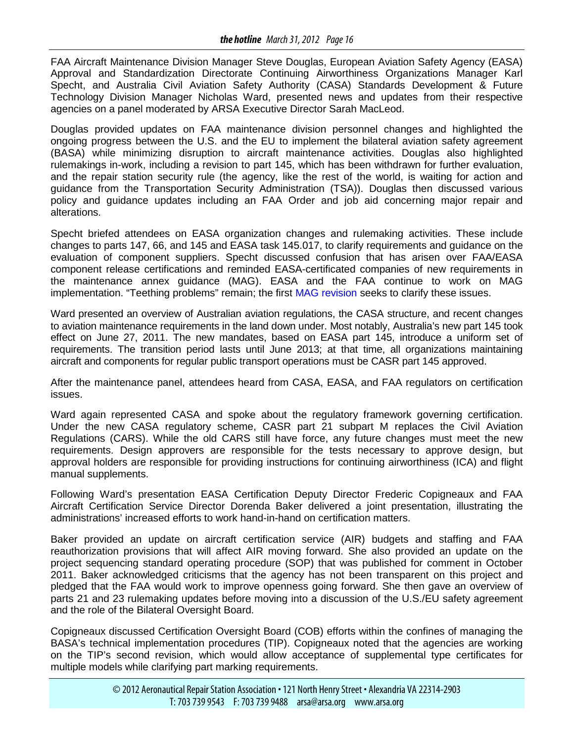FAA Aircraft Maintenance Division Manager Steve Douglas, European Aviation Safety Agency (EASA) Approval and Standardization Directorate Continuing Airworthiness Organizations Manager Karl Specht, and Australia Civil Aviation Safety Authority (CASA) Standards Development & Future Technology Division Manager Nicholas Ward, presented news and updates from their respective agencies on a panel moderated by ARSA Executive Director Sarah MacLeod.

Douglas provided updates on FAA maintenance division personnel changes and highlighted the ongoing progress between the U.S. and the EU to implement the bilateral aviation safety agreement (BASA) while minimizing disruption to aircraft maintenance activities. Douglas also highlighted rulemakings in-work, including a revision to part 145, which has been withdrawn for further evaluation, and the repair station security rule (the agency, like the rest of the world, is waiting for action and guidance from the Transportation Security Administration (TSA)). Douglas then discussed various policy and guidance updates including an FAA Order and job aid concerning major repair and alterations.

Specht briefed attendees on EASA organization changes and rulemaking activities. These include changes to parts 147, 66, and 145 and EASA task 145.017, to clarify requirements and guidance on the evaluation of component suppliers. Specht discussed confusion that has arisen over FAA/EASA component release certifications and reminded EASA-certificated companies of new requirements in the maintenance annex guidance (MAG). EASA and the FAA continue to work on MAG implementation. "Teething problems" remain; the first [MAG revision](http://www.arsa.org/?q=node/832) seeks to clarify these issues.

Ward presented an overview of Australian aviation regulations, the CASA structure, and recent changes to aviation maintenance requirements in the land down under. Most notably, Australia's new part 145 took effect on June 27, 2011. The new mandates, based on EASA part 145, introduce a uniform set of requirements. The transition period lasts until June 2013; at that time, all organizations maintaining aircraft and components for regular public transport operations must be CASR part 145 approved.

After the maintenance panel, attendees heard from CASA, EASA, and FAA regulators on certification issues.

Ward again represented CASA and spoke about the regulatory framework governing certification. Under the new CASA regulatory scheme, CASR part 21 subpart M replaces the Civil Aviation Regulations (CARS). While the old CARS still have force, any future changes must meet the new requirements. Design approvers are responsible for the tests necessary to approve design, but approval holders are responsible for providing instructions for continuing airworthiness (ICA) and flight manual supplements.

Following Ward's presentation EASA Certification Deputy Director Frederic Copigneaux and FAA Aircraft Certification Service Director Dorenda Baker delivered a joint presentation, illustrating the administrations' increased efforts to work hand-in-hand on certification matters.

Baker provided an update on aircraft certification service (AIR) budgets and staffing and FAA reauthorization provisions that will affect AIR moving forward. She also provided an update on the project sequencing standard operating procedure (SOP) that was published for comment in October 2011. Baker acknowledged criticisms that the agency has not been transparent on this project and pledged that the FAA would work to improve openness going forward. She then gave an overview of parts 21 and 23 rulemaking updates before moving into a discussion of the U.S./EU safety agreement and the role of the Bilateral Oversight Board.

Copigneaux discussed Certification Oversight Board (COB) efforts within the confines of managing the BASA's technical implementation procedures (TIP). Copigneaux noted that the agencies are working on the TIP's second revision, which would allow acceptance of supplemental type certificates for multiple models while clarifying part marking requirements.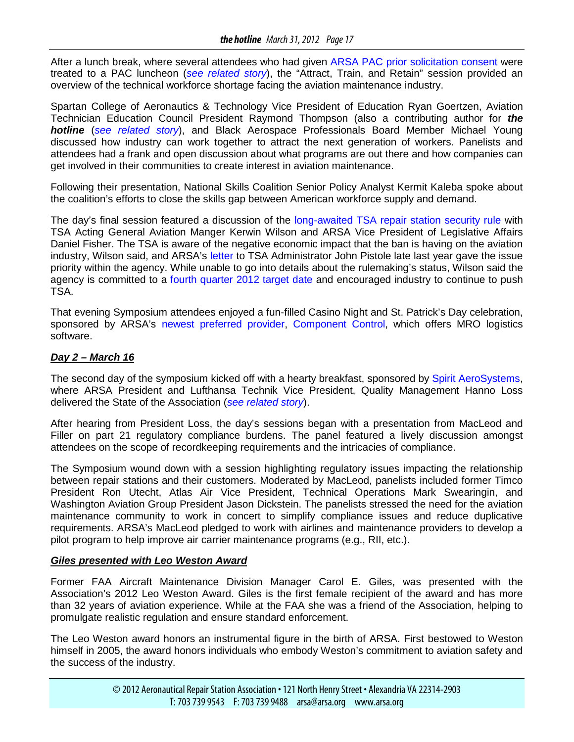After a lunch break, where several attendees who had given [ARSA PAC prior solicitation consent](http://www.arsa.org/node/768) were treated to a PAC luncheon (*[see related story](#page-17-0)*), the "Attract, Train, and Retain" session provided an overview of the technical workforce shortage facing the aviation maintenance industry.

Spartan College of Aeronautics & Technology Vice President of Education Ryan Goertzen, Aviation Technician Education Council President Raymond Thompson (also a contributing author for *the hotline* (*[see related story](#page-12-0)*), and Black Aerospace Professionals Board Member Michael Young discussed how industry can work together to attract the next generation of workers. Panelists and attendees had a frank and open discussion about what programs are out there and how companies can get involved in their communities to create interest in aviation maintenance.

Following their presentation, National Skills Coalition Senior Policy Analyst Kermit Kaleba spoke about the coalition's efforts to close the skills gap between American workforce supply and demand.

The day's final session featured a discussion of the [long-awaited TSA repair station security rule](http://www.arsa.org/node/794) with TSA Acting General Aviation Manger Kerwin Wilson and ARSA Vice President of Legislative Affairs Daniel Fisher. The TSA is aware of the negative economic impact that the ban is having on the aviation industry, Wilson said, and ARSA's [letter](http://www.arsa.org/files/ARSA-LettertoPistoleLifttheBan-20111122.pdf) to TSA Administrator John Pistole late last year gave the issue priority within the agency. While unable to go into details about the rulemaking's status, Wilson said the agency is committed to a [fourth quarter 2012 target date](http://www.arsa.org/files/TSA-ResponseNPRMAircraftRepairStationSecurity-20120104.pdf) and encouraged industry to continue to push TSA.

That evening Symposium attendees enjoyed a fun-filled Casino Night and St. Patrick's Day celebration, sponsored by ARSA's [newest preferred provider,](http://www.arsa.org/node/815) [Component Control,](http://www.componentcontrol.com/quantum/quantum.html) which offers MRO logistics software.

#### *Day 2 – March 16*

The second day of the symposium kicked off with a hearty breakfast, sponsored by [Spirit AeroSystems,](http://www.spiritaero.com/) where ARSA President and Lufthansa Technik Vice President, Quality Management Hanno Loss delivered the State of the Association (*[see related story](#page-0-0)*).

After hearing from President Loss, the day's sessions began with a presentation from MacLeod and Filler on part 21 regulatory compliance burdens. The panel featured a lively discussion amongst attendees on the scope of recordkeeping requirements and the intricacies of compliance.

The Symposium wound down with a session highlighting regulatory issues impacting the relationship between repair stations and their customers. Moderated by MacLeod, panelists included former Timco President Ron Utecht, Atlas Air Vice President, Technical Operations Mark Swearingin, and Washington Aviation Group President Jason Dickstein. The panelists stressed the need for the aviation maintenance community to work in concert to simplify compliance issues and reduce duplicative requirements. ARSA's MacLeod pledged to work with airlines and maintenance providers to develop a pilot program to help improve air carrier maintenance programs (e.g., RII, etc.).

#### *Giles presented with Leo Weston Award*

Former FAA Aircraft Maintenance Division Manager Carol E. Giles, was presented with the Association's 2012 Leo Weston Award. Giles is the first female recipient of the award and has more than 32 years of aviation experience. While at the FAA she was a friend of the Association, helping to promulgate realistic regulation and ensure standard enforcement.

The Leo Weston award honors an instrumental figure in the birth of ARSA. First bestowed to Weston himself in 2005, the award honors individuals who embody Weston's commitment to aviation safety and the success of the industry.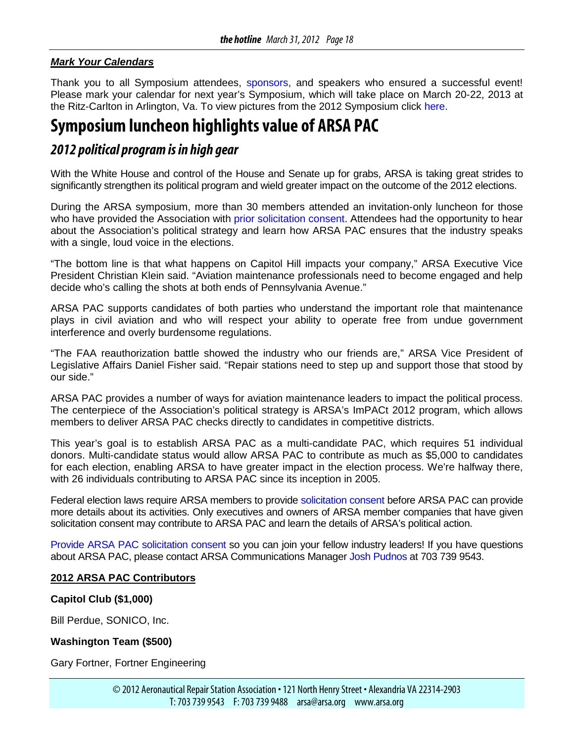#### <span id="page-17-0"></span>*Mark Your Calendars*

Thank you to all Symposium attendees, [sponsors,](http://www.arsa.org/node/377) and speakers who ensured a successful event! Please mark your calendar for next year's Symposium, which will take place on March 20-22, 2013 at the Ritz-Carlton in Arlington, Va. To view pictures from the 2012 Symposium click [here.](http://www.flickr.com/photos/78188164@N04/sets/72157629324453622/)

## **Symposium luncheon highlights value of ARSA PAC**

### *2012 political program is in high gear*

With the White House and control of the House and Senate up for grabs, ARSA is taking great strides to significantly strengthen its political program and wield greater impact on the outcome of the 2012 elections.

During the ARSA symposium, more than 30 members attended an invitation-only luncheon for those who have provided the Association with [prior solicitation consent.](http://www.arsa.org/node/768) Attendees had the opportunity to hear about the Association's political strategy and learn how ARSA PAC ensures that the industry speaks with a single, loud voice in the elections.

"The bottom line is that what happens on Capitol Hill impacts your company," ARSA Executive Vice President Christian Klein said. "Aviation maintenance professionals need to become engaged and help decide who's calling the shots at both ends of Pennsylvania Avenue."

ARSA PAC supports candidates of both parties who understand the important role that maintenance plays in civil aviation and who will respect your ability to operate free from undue government interference and overly burdensome regulations.

"The FAA reauthorization battle showed the industry who our friends are," ARSA Vice President of Legislative Affairs Daniel Fisher said. "Repair stations need to step up and support those that stood by our side."

ARSA PAC provides a number of ways for aviation maintenance leaders to impact the political process. The centerpiece of the Association's political strategy is ARSA's ImPACt 2012 program, which allows members to deliver ARSA PAC checks directly to candidates in competitive districts.

This year's goal is to establish ARSA PAC as a multi-candidate PAC, which requires 51 individual donors. Multi-candidate status would allow ARSA PAC to contribute as much as \$5,000 to candidates for each election, enabling ARSA to have greater impact in the election process. We're halfway there, with 26 individuals contributing to ARSA PAC since its inception in 2005.

Federal election laws require ARSA members to provide [solicitation consent](http://www.arsa.org/node/768) before ARSA PAC can provide more details about its activities. Only executives and owners of ARSA member companies that have given solicitation consent may contribute to ARSA PAC and learn the details of ARSA's political action.

[Provide ARSA PAC solicitation consent](http://www.arsa.org/node/768) so you can join your fellow industry leaders! If you have questions about ARSA PAC, please contact ARSA Communications Manager [Josh Pudnos](mailto:josh.pudnos@arsa.org?subject=ARSA%20PAC) at 703 739 9543.

#### **2012 ARSA PAC Contributors**

#### **Capitol Club (\$1,000)**

Bill Perdue, SONICO, Inc.

#### **Washington Team (\$500)**

Gary Fortner, Fortner Engineering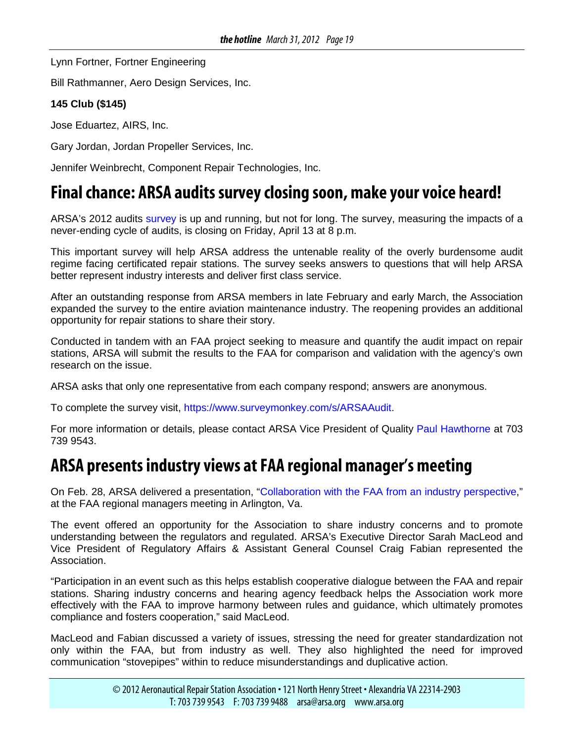<span id="page-18-0"></span>Lynn Fortner, Fortner Engineering

Bill Rathmanner, Aero Design Services, Inc.

#### **145 Club (\$145)**

Jose Eduartez, AIRS, Inc.

Gary Jordan, Jordan Propeller Services, Inc.

Jennifer Weinbrecht, Component Repair Technologies, Inc.

## **Final chance: ARSA audits survey closing soon, make your voice heard!**

ARSA's 2012 audits [survey](https://www.surveymonkey.com/s/ARSAAudit) is up and running, but not for long. The survey, measuring the impacts of a never-ending cycle of audits, is closing on Friday, April 13 at 8 p.m.

This important survey will help ARSA address the untenable reality of the overly burdensome audit regime facing certificated repair stations. The survey seeks answers to questions that will help ARSA better represent industry interests and deliver first class service.

After an outstanding response from ARSA members in late February and early March, the Association expanded the survey to the entire aviation maintenance industry. The reopening provides an additional opportunity for repair stations to share their story.

Conducted in tandem with an FAA project seeking to measure and quantify the audit impact on repair stations, ARSA will submit the results to the FAA for comparison and validation with the agency's own research on the issue.

ARSA asks that only one representative from each company respond; answers are anonymous.

To complete the survey visit, [https://www.surveymonkey.com/s/ARSAAudit.](https://www.surveymonkey.com/s/ARSAAudit)

For more information or details, please contact ARSA Vice President of Quality [Paul Hawthorne](mailto:paul.hawthorne@arsa.org?subject=ARSA%202012%20Audit%20Survey) at 703 739 9543.

## **ARSA presents industry views at FAA regional manager's meeting**

On Feb. 28, ARSA delivered a presentation, ["Collaboration with the FAA from an industry perspective,](http://www.arsa.org/files2/ARSA-IndustryPerspective-20120224a.pdf)" at the FAA regional managers meeting in Arlington, Va.

The event offered an opportunity for the Association to share industry concerns and to promote understanding between the regulators and regulated. ARSA's Executive Director Sarah MacLeod and Vice President of Regulatory Affairs & Assistant General Counsel Craig Fabian represented the Association.

"Participation in an event such as this helps establish cooperative dialogue between the FAA and repair stations. Sharing industry concerns and hearing agency feedback helps the Association work more effectively with the FAA to improve harmony between rules and guidance, which ultimately promotes compliance and fosters cooperation," said MacLeod.

MacLeod and Fabian discussed a variety of issues, stressing the need for greater standardization not only within the FAA, but from industry as well. They also highlighted the need for improved communication "stovepipes" within to reduce misunderstandings and duplicative action.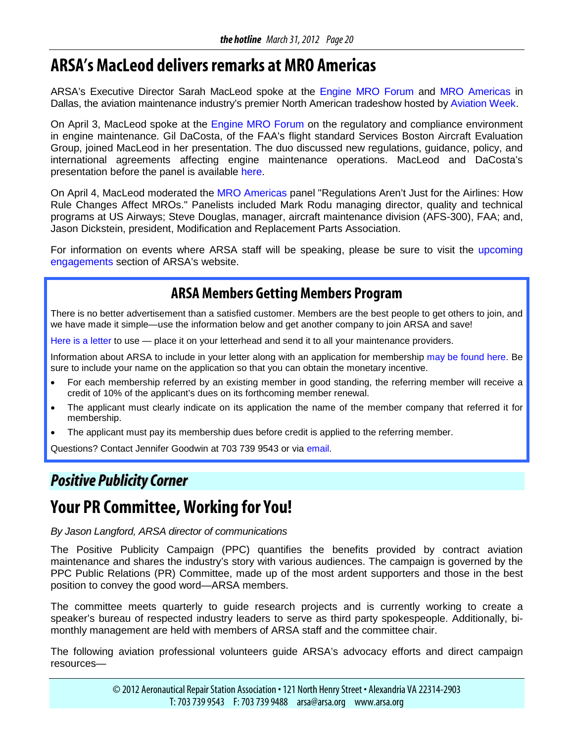## <span id="page-19-0"></span>**ARSA's MacLeod delivers remarks at MRO Americas**

ARSA's Executive Director Sarah MacLeod spoke at the [Engine MRO Forum](http://www.aviationweek.com/events/current/mroeng/agenda.htm) and [MRO Americas](http://www.aviationweek.com/events/current/mro/agenda.htm) in Dallas, the aviation maintenance industry's premier North American tradeshow hosted by [Aviation Week.](http://www.aviationweek.com/events/)

On April 3, MacLeod spoke at the [Engine MRO Forum](http://www.aviationweek.com/events/current/mroeng) on the regulatory and compliance environment in engine maintenance. Gil DaCosta, of the FAA's flight standard Services Boston Aircraft Evaluation Group, joined MacLeod in her presentation. The duo discussed new regulations, guidance, policy, and international agreements affecting engine maintenance operations. MacLeod and DaCosta's presentation before the panel is available [here.](http://www.arsa.org/files/ARSA-EngineMRO-MacLeod-20120327.pdf)

On April 4, MacLeod moderated the [MRO Americas](http://www.aviationweek.com/events/current/mro/index.htm) panel "Regulations Aren't Just for the Airlines: How Rule Changes Affect MROs." Panelists included Mark Rodu managing director, quality and technical programs at US Airways; Steve Douglas, manager, aircraft maintenance division (AFS-300), FAA; and, Jason Dickstein, president, Modification and Replacement Parts Association.

For information on events where ARSA staff will be speaking, please be sure to visit the [upcoming](http://www.arsa.org/node/186)  [engagements](http://www.arsa.org/node/186) section of ARSA's website.

### **ARSA Members Getting Members Program**

There is no better advertisement than a satisfied customer. Members are the best people to get others to join, and we have made it simple—use the information below and get another company to join ARSA and save!

[Here is a letter](http://www.arsa.org/files/ARSA-MemberVendorRecruitmentLetter-12292008.doc) to use — place it on your letterhead and send it to all your maintenance providers.

Information about ARSA to include in your letter along with an application for membership [may be found here.](http://www.arsa.org/files/ARSA-ARSAInformation-1pagerandMemberApp-20110118.pdf) Be sure to include your name on the application so that you can obtain the monetary incentive.

- For each membership referred by an existing member in good standing, the referring member will receive a credit of 10% of the applicant's dues on its forthcoming member renewal.
- The applicant must clearly indicate on its application the name of the member company that referred it for membership.
- The applicant must pay its membership dues before credit is applied to the referring member.

Questions? Contact Jennifer Goodwin at 703 739 9543 or via [email.](mailto:Jennifer.Goodwin@arsa.org)

### *Positive PublicityCorner*

## **Your PR Committee, Working for You!**

#### *By Jason Langford, ARSA director of communications*

The Positive Publicity Campaign (PPC) quantifies the benefits provided by contract aviation maintenance and shares the industry's story with various audiences. The campaign is governed by the PPC Public Relations (PR) Committee, made up of the most ardent supporters and those in the best position to convey the good word—ARSA members.

The committee meets quarterly to guide research projects and is currently working to create a speaker's bureau of respected industry leaders to serve as third party spokespeople. Additionally, bimonthly management are held with members of ARSA staff and the committee chair.

The following aviation professional volunteers guide ARSA's advocacy efforts and direct campaign resources—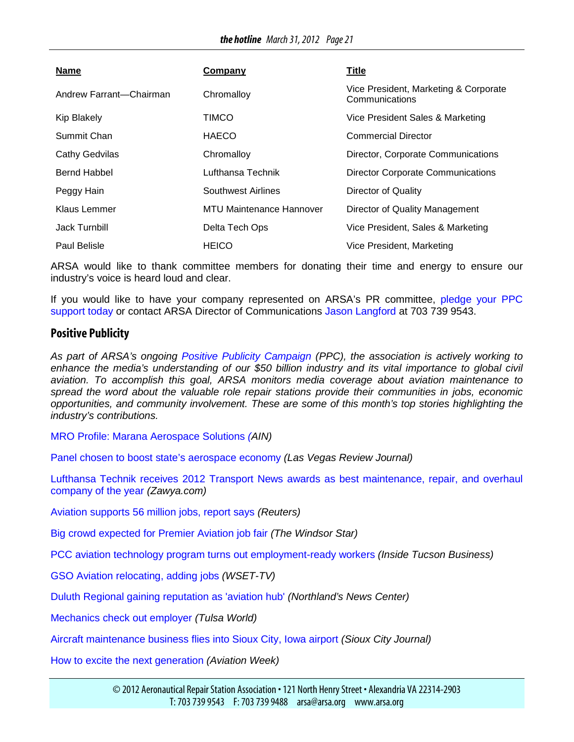| <b>Name</b>             | Company                  | <b>Title</b>                                            |
|-------------------------|--------------------------|---------------------------------------------------------|
| Andrew Farrant-Chairman | Chromalloy               | Vice President, Marketing & Corporate<br>Communications |
| <b>Kip Blakely</b>      | <b>TIMCO</b>             | Vice President Sales & Marketing                        |
| Summit Chan             | HAECO                    | <b>Commercial Director</b>                              |
| <b>Cathy Gedvilas</b>   | Chromalloy               | Director, Corporate Communications                      |
| Bernd Habbel            | Lufthansa Technik        | <b>Director Corporate Communications</b>                |
| Peggy Hain              | Southwest Airlines       | Director of Quality                                     |
| Klaus Lemmer            | MTU Maintenance Hannover | Director of Quality Management                          |
| Jack Turnbill           | Delta Tech Ops           | Vice President, Sales & Marketing                       |
| Paul Belisle            | <b>HEICO</b>             | Vice President, Marketing                               |

ARSA would like to thank committee members for donating their time and energy to ensure our industry's voice is heard loud and clear.

If you would like to have your company represented on ARSA's PR committee, [pledge your PPC](http://www.arsa.org/node/740)  [support today](http://www.arsa.org/node/740) or contact ARSA Director of Communications [Jason Langford](mailto:jason.langford@arsa.org?subject=ARSA%20PPC) at 703 739 9543.

#### **Positive Publicity**

*As part of ARSA's ongoing [Positive Publicity Campaign](http://www.arsa.org/node/548) (PPC), the association is actively working to*  enhance the media's understanding of our \$50 billion industry and its vital importance to global civil *aviation. To accomplish this goal, ARSA monitors media coverage about aviation maintenance to spread the word about the valuable role repair stations provide their communities in jobs, economic opportunities, and community involvement. These are some of this month's top stories highlighting the industry's contributions.*

[MRO Profile: Marana Aerospace Solutions](http://www.ainonline.com/aviation-news/aviation-international-news/2012-04-03/mro-profile-marana-aerospace-solutions) *(AIN)*

[Panel chosen to boost state's aerospace economy](http://www.lvrj.com/business/panel-chosen-to-boost-state-s-aerospace-economy-145888905.html) *(Las Vegas Review Journal)*

[Lufthansa Technik receives 2012 Transport News awards as best maintenance, repair, and overhaul](http://www.zawya.com/story.cfm/sidZAWYA20120312112835)  [company of the year](http://www.zawya.com/story.cfm/sidZAWYA20120312112835) *(Zawya.com)*

[Aviation supports 56 million jobs, report says](http://www.reuters.com/article/2012/03/21/aviation-environment-idUSL6E8EL9F620120321) *(Reuters)*

[Big crowd expected for Premier Aviation job fair](http://www.windsorstar.com/business/crowd+expected+Premier+Aviation+fair/6351162/story.html) *(The Windsor Star)*

[PCC aviation technology program turns out employment-ready workers](http://www.insidetucsonbusiness.com/news/top_stories/pcc-aviation-technology-program-turns-out-employment-ready-workers/article_77379e8a-7444-11e1-b95e-0019bb2963f4.html) *(Inside Tucson Business)*

[GSO Aviation relocating, adding jobs](http://www.wset.com/story/17082922/gso-aviation-relocating-adding-jobs) *(WSET-TV)*

[Duluth Regional gaining reputation as 'aviation hub'](http://www.northlandsnewscenter.com/news/local/Duluth-Region-Gaining-Reputation-As-Aviation-Hub-141223223.html) *(Northland's News Center)*

[Mechanics check out employer](http://www.tulsaworld.com/business/article.aspx?subjectid=585&articleid=20120302_45_E1_CUTLIN878184&allcom=1) *(Tulsa World)*

[Aircraft maintenance business flies into Sioux City, Iowa airport](http://siouxcityjournal.com/special-section/local/industry/aircraft-maintenance-business-flies-into-sioux-city-iowa-airport/article_e93e2c63-edb3-5bd0-af60-df13c0384f53.html) *(Sioux City Journal)*

[How to excite the next generation](http://www.aviationweek.com/aw/blogs/mro/index.jsp?plckController=Blog&plckBlogPage=BlogViewPost&newspaperUserId=388668c6-b459-4ea7-941e-a0a2206d415f&plckPostId=Blog%3a388668c6-b459-4ea7-941e-a0a2206d415fPost%3af8adb0ed-1ff1-4a6c-b1a6-8d652f74cd63&plckScript=blogScript&plckElementId=blogDest) *(Aviation Week)*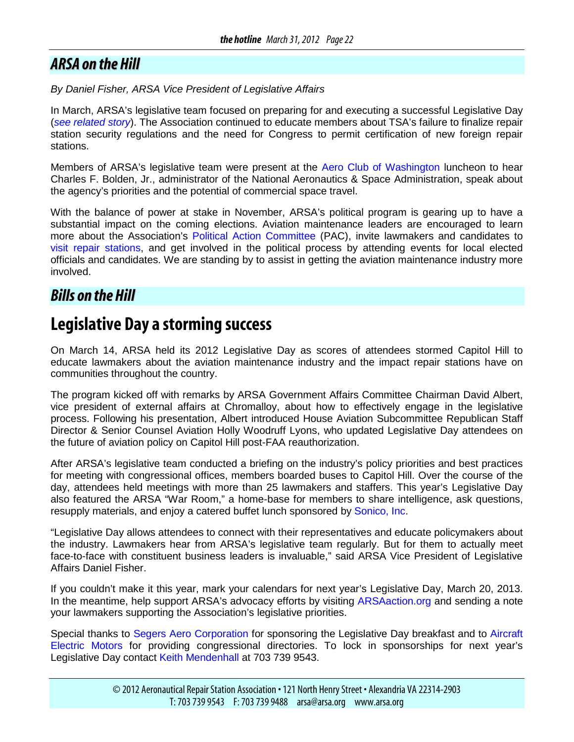### <span id="page-21-0"></span>*ARSA on the Hill*

*By Daniel Fisher, ARSA Vice President of Legislative Affairs*

In March, ARSA's legislative team focused on preparing for and executing a successful Legislative Day (*see related story*). The Association continued to educate members about TSA's failure to finalize repair station security regulations and the need for Congress to permit certification of new foreign repair stations.

Members of ARSA's legislative team were present at the [Aero Club of Washington](http://www.aeroclub.org/) luncheon to hear Charles F. Bolden, Jr., administrator of the National Aeronautics & Space Administration, speak about the agency's priorities and the potential of commercial space travel.

With the balance of power at stake in November, ARSA's political program is gearing up to have a substantial impact on the coming elections. Aviation maintenance leaders are encouraged to learn more about the Association's [Political Action Committee](http://www.arsa.org/node/768) (PAC), invite lawmakers and candidates to [visit repair stations,](http://www.arsa.org/node/675#section2) and get involved in the political process by attending events for local elected officials and candidates. We are standing by to assist in getting the aviation maintenance industry more involved.

### *Bills on the Hill*

### **Legislative Day a storming success**

On March 14, ARSA held its 2012 Legislative Day as scores of attendees stormed Capitol Hill to educate lawmakers about the aviation maintenance industry and the impact repair stations have on communities throughout the country.

The program kicked off with remarks by ARSA Government Affairs Committee Chairman David Albert, vice president of external affairs at Chromalloy, about how to effectively engage in the legislative process. Following his presentation, Albert introduced House Aviation Subcommittee Republican Staff Director & Senior Counsel Aviation Holly Woodruff Lyons, who updated Legislative Day attendees on the future of aviation policy on Capitol Hill post-FAA reauthorization.

After ARSA's legislative team conducted a briefing on the industry's policy priorities and best practices for meeting with congressional offices, members boarded buses to Capitol Hill. Over the course of the day, attendees held meetings with more than 25 lawmakers and staffers. This year's Legislative Day also featured the ARSA "War Room," a home-base for members to share intelligence, ask questions, resupply materials, and enjoy a catered buffet lunch sponsored by [Sonico, Inc.](http://www.sonicoinc.com/)

"Legislative Day allows attendees to connect with their representatives and educate policymakers about the industry. Lawmakers hear from ARSA's legislative team regularly. But for them to actually meet face-to-face with constituent business leaders is invaluable," said ARSA Vice President of Legislative Affairs Daniel Fisher.

If you couldn't make it this year, mark your calendars for next year's Legislative Day, March 20, 2013. In the meantime, help support ARSA's advocacy efforts by visiting [ARSAaction.org](http://www.arsaaction.org/) and sending a note your lawmakers supporting the Association's legislative priorities.

Special thanks to [Segers Aero Corporation](http://www.segers.aero/) for sponsoring the Legislative Day breakfast and to [Aircraft](http://www.airelec.com/)  [Electric Motors](http://www.airelec.com/) for providing congressional directories. To lock in sponsorships for next year's Legislative Day contact [Keith Mendenhall](mailto:keith.mendehall@arsa.org?subject=2013%20Symposium%20Sponsorships) at [703](mailto:keith.mendenhall@arsa.org) 739 9543.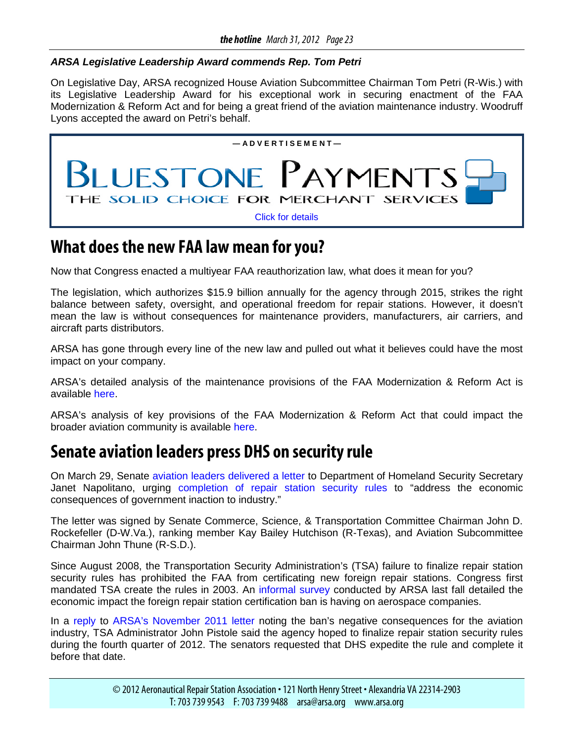#### <span id="page-22-0"></span>*ARSA Legislative Leadership Award commends Rep. Tom Petri*

On Legislative Day, ARSA recognized House Aviation Subcommittee Chairman Tom Petri (R-Wis.) with its Legislative Leadership Award for his exceptional work in securing enactment of the FAA Modernization & Reform Act and for being a great friend of the aviation maintenance industry. Woodruff Lyons accepted the award on Petri's behalf.



### **What does the new FAA law mean for you?**

Now that Congress enacted a multiyear FAA reauthorization law, what does it mean for you?

The legislation, which authorizes \$15.9 billion annually for the agency through 2015, strikes the right balance between safety, oversight, and operational freedom for repair stations. However, it doesn't mean the law is without consequences for maintenance providers, manufacturers, air carriers, and aircraft parts distributors.

ARSA has gone through every line of the new law and pulled out what it believes could have the most impact on your company.

ARSA's detailed analysis of the maintenance provisions of the FAA Modernization & Reform Act is available [here.](http://www.arsa.org/files2/ARSA-ReauthorizationMaintenanceProvisionAnalysis-20120217.pdf)

ARSA's analysis of key provisions of the FAA Modernization & Reform Act that could impact the broader aviation community is available [here.](http://www.arsa.org/files2/ARSA-ReauthorizationProvisionAnalysis-20120228.pdf)

## **Senate aviation leaders press DHS on security rule**

On March 29, Senate [aviation leaders delivered a letter](http://www.arsa.org/files/Signed-Repair-Station-Rule-20120329.pdf) to Department of Homeland Security Secretary Janet Napolitano, urging [completion of repair station security rules](http://www.arsa.org/node/794) to "address the economic consequences of government inaction to industry."

The letter was signed by Senate Commerce, Science, & Transportation Committee Chairman John D. Rockefeller (D-W.Va.), ranking member Kay Bailey Hutchison (R-Texas), and Aviation Subcommittee Chairman John Thune (R-S.D.).

Since August 2008, the Transportation Security Administration's (TSA) failure to finalize repair station security rules has prohibited the FAA from certificating new foreign repair stations. Congress first mandated TSA create the rules in 2003. An [informal survey](http://www.arsa.org/?q=node/777) conducted by ARSA last fall detailed the economic impact the foreign repair station certification ban is having on aerospace companies.

In a [reply](http://www.arsa.org/files/TSA-ResponseNPRMAircraftRepairStationSecurity-20120104.pdf) to [ARSA's November 2011 letter](http://www.arsa.org/files/ARSA-LettertoPistoleLifttheBan-20111122.pdf) noting the ban's negative consequences for the aviation industry, TSA Administrator John Pistole said the agency hoped to finalize repair station security rules during the fourth quarter of 2012. The senators requested that DHS expedite the rule and complete it before that date.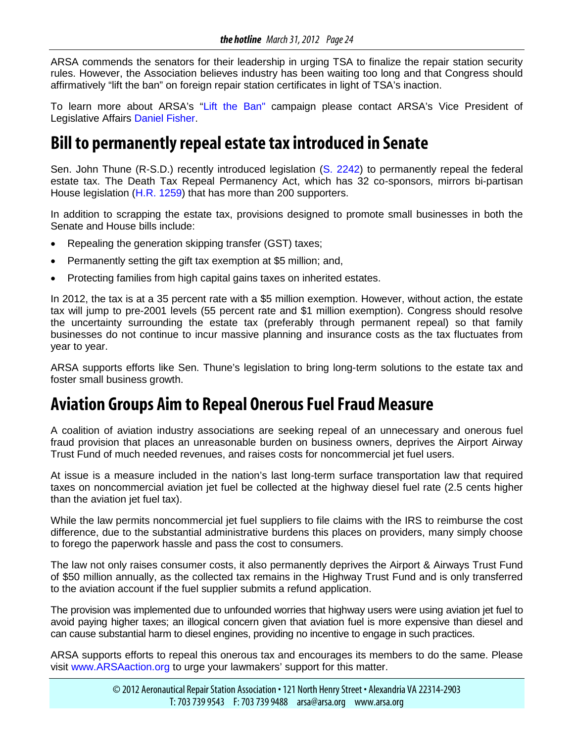<span id="page-23-0"></span>ARSA commends the senators for their leadership in urging TSA to finalize the repair station security rules. However, the Association believes industry has been waiting too long and that Congress should affirmatively "lift the ban" on foreign repair station certificates in light of TSA's inaction.

To learn more about ARSA's ["Lift the Ban"](http://www.arsa.org/node/794) campaign please contact ARSA's Vice President of Legislative Affairs [Daniel Fisher.](mailto:daniel.fisher@arsa.org?subject=Lift%20the%20Ban)

### **Bill to permanently repeal estate tax introduced in Senate**

Sen. John Thune (R-S.D.) recently introduced legislation [\(S. 2242\)](http://thomas.loc.gov/cgi-bin/bdquery/z?d112:s.2242:) to permanently repeal the federal estate tax. The Death Tax Repeal Permanency Act, which has 32 co-sponsors, mirrors bi-partisan House legislation [\(H.R. 1259\)](http://thomas.loc.gov/cgi-bin/bdquery/z?d112:h.r.1295:) that has more than 200 supporters.

In addition to scrapping the estate tax, provisions designed to promote small businesses in both the Senate and House bills include:

- Repealing the generation skipping transfer (GST) taxes;
- Permanently setting the gift tax exemption at \$5 million; and,
- Protecting families from high capital gains taxes on inherited estates.

In 2012, the tax is at a 35 percent rate with a \$5 million exemption. However, without action, the estate tax will jump to pre-2001 levels (55 percent rate and \$1 million exemption). Congress should resolve the uncertainty surrounding the estate tax (preferably through permanent repeal) so that family businesses do not continue to incur massive planning and insurance costs as the tax fluctuates from year to year.

ARSA supports efforts like Sen. Thune's legislation to bring long-term solutions to the estate tax and foster small business growth.

## **Aviation Groups Aim to Repeal Onerous Fuel Fraud Measure**

A coalition of aviation industry associations are seeking repeal of an unnecessary and onerous fuel fraud provision that places an unreasonable burden on business owners, deprives the Airport Airway Trust Fund of much needed revenues, and raises costs for noncommercial jet fuel users.

At issue is a measure included in the nation's last long-term surface transportation law that required taxes on noncommercial aviation jet fuel be collected at the highway diesel fuel rate (2.5 cents higher than the aviation jet fuel tax).

While the law permits noncommercial jet fuel suppliers to file claims with the IRS to reimburse the cost difference, due to the substantial administrative burdens this places on providers, many simply choose to forego the paperwork hassle and pass the cost to consumers.

The law not only raises consumer costs, it also permanently deprives the Airport & Airways Trust Fund of \$50 million annually, as the collected tax remains in the Highway Trust Fund and is only transferred to the aviation account if the fuel supplier submits a refund application.

The provision was implemented due to unfounded worries that highway users were using aviation jet fuel to avoid paying higher taxes; an illogical concern given that aviation fuel is more expensive than diesel and can cause substantial harm to diesel engines, providing no incentive to engage in such practices.

ARSA supports efforts to repeal this onerous tax and encourages its members to do the same. Please visit [www.ARSAaction.org](http://www.arsaaction.org/) to urge your lawmakers' support for this matter.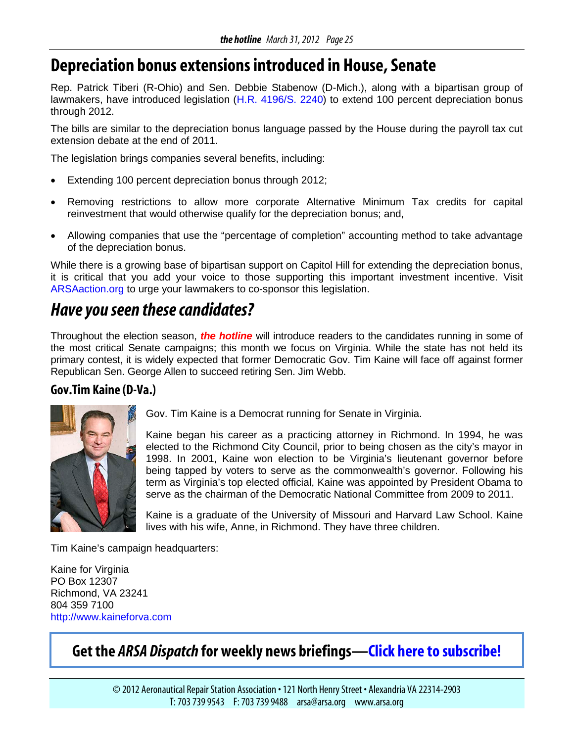## <span id="page-24-0"></span>**Depreciation bonus extensions introduced in House, Senate**

Rep. Patrick Tiberi (R-Ohio) and Sen. Debbie Stabenow (D-Mich.), along with a bipartisan group of lawmakers, have introduced legislation [\(H.R. 4196/](http://thomas.loc.gov/cgi-bin/bdquery/z?d112:h4196:)[S. 2240\)](http://thomas.loc.gov/cgi-bin/bdquery/z?d112:SN02240:) to extend 100 percent depreciation bonus through 2012.

The bills are similar to the depreciation bonus language passed by the House during the payroll tax cut extension debate at the end of 2011.

The legislation brings companies several benefits, including:

- Extending 100 percent depreciation bonus through 2012;
- Removing restrictions to allow more corporate Alternative Minimum Tax credits for capital reinvestment that would otherwise qualify for the depreciation bonus; and,
- Allowing companies that use the "percentage of completion" accounting method to take advantage of the depreciation bonus.

While there is a growing base of bipartisan support on Capitol Hill for extending the depreciation bonus, it is critical that you add your voice to those supporting this important investment incentive. Visit [ARSAaction.org](http://www.votervoice.net/Core/core.aspx?APP=GAC&AID=1027&SiteID=-1&IssueID=28149) to urge your lawmakers to co-sponsor this legislation.

## *Haveyou seen these candidates?*

Throughout the election season, *the hotline* will introduce readers to the candidates running in some of the most critical Senate campaigns; this month we focus on Virginia. While the state has not held its primary contest, it is widely expected that former Democratic Gov. Tim Kaine will face off against former Republican Sen. George Allen to succeed retiring Sen. Jim Webb.

### **Gov.Tim Kaine (D-Va.)**



Gov. Tim Kaine is a Democrat running for Senate in Virginia.

Kaine began his career as a practicing attorney in Richmond. In 1994, he was elected to the Richmond City Council, prior to being chosen as the city's mayor in 1998. In 2001, Kaine won election to be Virginia's lieutenant governor before being tapped by voters to serve as the commonwealth's governor. Following his term as Virginia's top elected official, Kaine was appointed by President Obama to serve as the chairman of the Democratic National Committee from 2009 to 2011.

Kaine is a graduate of the University of Missouri and Harvard Law School. Kaine lives with his wife, Anne, in Richmond. They have three children.

Tim Kaine's campaign headquarters:

Kaine for Virginia PO Box 12307 Richmond, VA 23241 804 359 7100 [http://www.kaineforva.com](http://www.kaineforva.com/)

### **Get the** *ARSA Dispatch* **for weekly news briefings[—Click here to subscribe!](http://www.arsa.org/node/555)**

© 2012 Aeronautical Repair Station Association • 121 North Henry Street • Alexandria VA 22314-2903 T: 703 739 9543 F: 703 739 9488 arsa@arsa.org www.arsa.org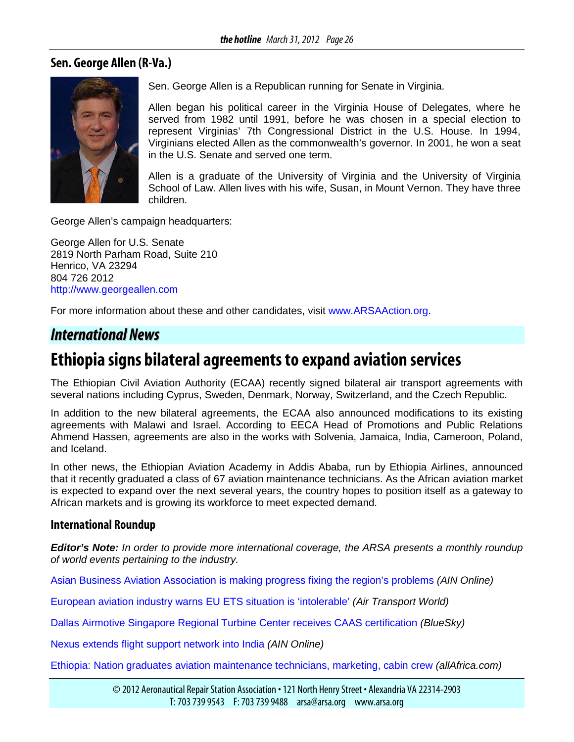#### <span id="page-25-0"></span>**Sen. George Allen (R-Va.)**



Sen. George Allen is a Republican running for Senate in Virginia.

Allen began his political career in the Virginia House of Delegates, where he served from 1982 until 1991, before he was chosen in a special election to represent Virginias' 7th Congressional District in the U.S. House. In 1994, Virginians elected Allen as the commonwealth's governor. In 2001, he won a seat in the U.S. Senate and served one term.

Allen is a graduate of the University of Virginia and the University of Virginia School of Law. Allen lives with his wife, Susan, in Mount Vernon. They have three children.

George Allen's campaign headquarters:

George Allen for U.S. Senate 2819 North Parham Road, Suite 210 Henrico, VA 23294 804 726 2012 [http://www.georgeallen.com](http://www.georgeallen.com/)

For more information about these and other candidates, visit [www.ARSAAction.org.](http://www.arsaaction.org/)

### *International News*

### **Ethiopia signs bilateral agreements to expand aviation services**

The Ethiopian Civil Aviation Authority (ECAA) recently signed bilateral air transport agreements with several nations including Cyprus, Sweden, Denmark, Norway, Switzerland, and the Czech Republic.

In addition to the new bilateral agreements, the ECAA also announced modifications to its existing agreements with Malawi and Israel. According to EECA Head of Promotions and Public Relations Ahmend Hassen, agreements are also in the works with Solvenia, Jamaica, India, Cameroon, Poland, and Iceland.

In other news, the Ethiopian Aviation Academy in Addis Ababa, run by Ethiopia Airlines, announced that it recently graduated a class of 67 aviation maintenance technicians. As the African aviation market is expected to expand over the next several years, the country hopes to position itself as a gateway to African markets and is growing its workforce to meet expected demand.

#### **International Roundup**

*Editor's Note: In order to provide more international coverage, the ARSA presents a monthly roundup of world events pertaining to the industry.*

[Asian Business Aviation Association is making progress fixing the region's problems](http://www.ainonline.com/aviation-news/abace-convention-news/2012-03-27/asian-business-aviation-association-making-progress-fixing-regions-problems) *(AIN Online)*

[European aviation industry warns EU ETS situation is 'intolerable'](http://atwonline.com/zh-hans/eco-aviation/article/european-aviation-industry-warns-eu-ets-situation-intolerable-0312) *(Air Transport World)*

[Dallas Airmotive Singapore Regional Turbine Center receives CAAS certification](http://www.blueskyexecutiveaviation.co.uk/issue_169/DallasAirmotive_Singapore_Regional_Turbine_Center_receives_CAAS_certification.htm) *(BlueSky)*

[Nexus extends flight support network into India](http://www.ainonline.com/aviation-news/abace-convention-news/2012-03-28/nexus-extends-flight-support-network-india) *(AIN Online)*

[Ethiopia: Nation graduates aviation maintenance technicians, marketing, cabin crew](http://allafrica.com/stories/201203230794.html) *(allAfrica.com)*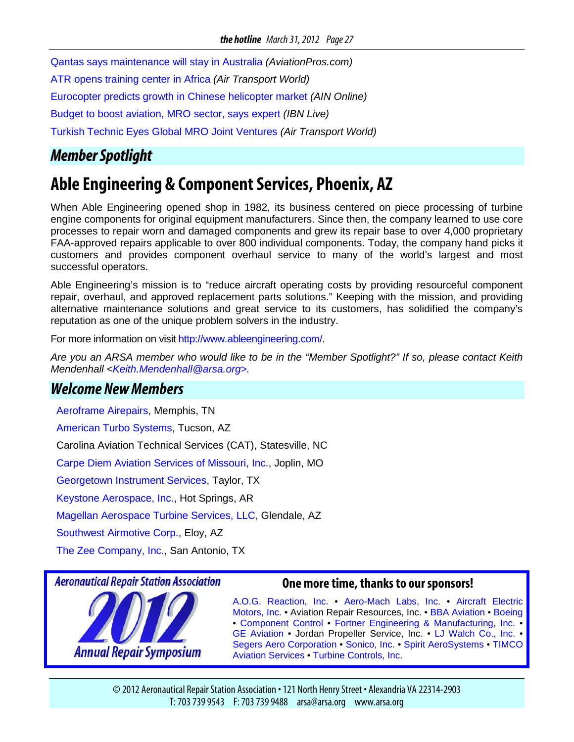<span id="page-26-0"></span>[Qantas says maintenance will stay in Australia](http://www.aviationpros.com/news/10658796/qantas-says-maintenance-will-stay-in-australia) *(AviationPros.com)*

[ATR opens training center in Africa](http://atwonline.com/operations-maintenance/news/atr-opens-training-center-africa-0319) *(Air Transport World)*

[Eurocopter predicts growth in Chinese helicopter market](http://www.ainonline.com/aviation-news/abace-convention-news/2012-03-26/eurocopter-predicts-growth-chinese-helicopter-market) *(AIN Online)*

[Budget to boost aviation, MRO sector, says expert](http://ibnlive.in.com/generalnewsfeed/news/budget-to-boost-aviation-mro-sector-say-experts/976527.html) *(IBN Live)*

[Turkish Technic Eyes Global MRO Joint Ventures](http://atwonline.com/operations-maintenance/news/turkish-technic-eyes-global-mro-joint-ventures-0301) *(Air Transport World)*

### *MemberSpotlight*

## **Able Engineering & Component Services, Phoenix, AZ**

When Able Engineering opened shop in 1982, its business centered on piece processing of turbine engine components for original equipment manufacturers. Since then, the company learned to use core processes to repair worn and damaged components and grew its repair base to over 4,000 proprietary FAA-approved repairs applicable to over 800 individual components. Today, the company hand picks it customers and provides component overhaul service to many of the world's largest and most successful operators.

Able Engineering's mission is to "reduce aircraft operating costs by providing resourceful component repair, overhaul, and approved replacement parts solutions." Keeping with the mission, and providing alternative maintenance solutions and great service to its customers, has solidified the company's reputation as one of the unique problem solvers in the industry.

For more information on visit http://www.ableengineering.com/.

*Are you an ARSA member who would like to be in the "Member Spotlight?" If so, please contact Keith Mendenhall [<Keith.Mendenhall@arsa.org>](mailto:Keith.Mendenhall@arsa.org).*

### *Welcome New Members*

[Aeroframe Airepairs,](http://airepairs.com/) Memphis, TN

[American Turbo Systems,](http://www.atstucson.com/) Tucson, AZ

Carolina Aviation Technical Services (CAT), Statesville, NC

[Carpe Diem Aviation Services of Missouri, Inc.,](http://www.cdaviationservices.com/) Joplin, MO

[Georgetown Instrument Services,](http://www.georgetowninstruments.com/) Taylor, TX

[Keystone Aerospace, Inc.,](http://keystoneaerospace.com/default.aspx) Hot Springs, AR

[Magellan Aerospace Turbine Services, LLC,](http://www.magellan.aero/) Glendale, AZ

[Southwest Airmotive Corp.,](http://www.southwest-airmotive.com/) Eloy, AZ

[The Zee Company, Inc.,](http://www.zeeco-zeesys.com/zee%20company.htm) San Antonio, TX

#### **Aeronautical Repair Station Association**



**Annual Repair Symposium** 

#### **One more time, thanks to our sponsors!**

[A.O.G. Reaction, Inc.](http://www.aogreaction.com/) • [Aero-Mach Labs, Inc.](http://www.aeromach.com/) • [Aircraft Electric](http://www.airelec.com/)  [Motors, Inc.](http://www.airelec.com/) • Aviation Repair Resources, Inc. • [BBA Aviation](http://www.bbaaviation.com/) • [Boeing](http://www.boeing.com/) • [Component Control](http://www.componentcontrol.com/) • [Fortner Engineering & Manufacturing, Inc.](http://www.arsa.org/node/www.fortnereng.com) • [GE Aviation](http://www.geae.com/) • Jordan Propeller Service, Inc. • [LJ Walch Co., Inc.](http://www.ljwalch.com/) • [Segers Aero Corporation](http://www.segers.aero/) • [Sonico, Inc.](http://www.sonicoinc.com/) • [Spirit AeroSystems](http://www.spiritaero.com/) • [TIMCO](http://www.timco.aero/)  [Aviation Services](http://www.timco.aero/) • [Turbine Controls, Inc.](http://www.tcimro.com/index.html)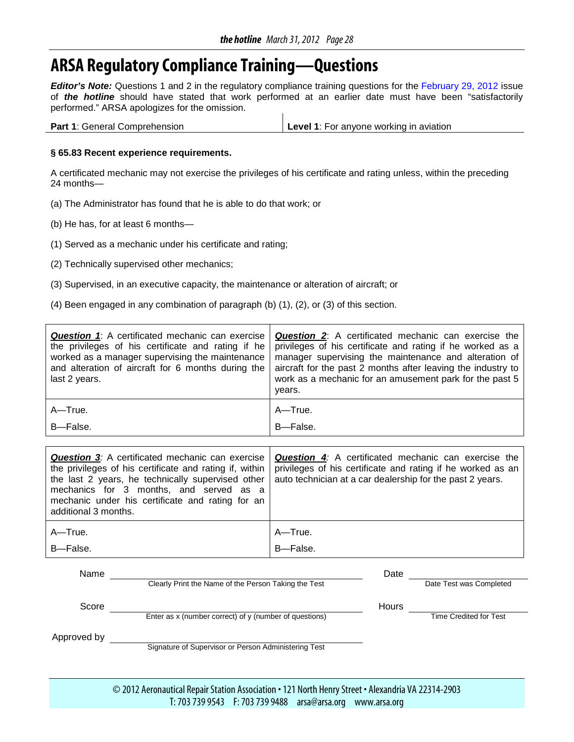## <span id="page-27-0"></span>**ARSA Regulatory Compliance Training—Questions**

*Editor's Note:* Questions 1 and 2 in the regulatory compliance training questions for the [February 29, 2012](http://www.arsa.org/files2/hlFeb12-RegCompliance-65-81.pdf) issue of *the hotline* should have stated that work performed at an earlier date must have been "satisfactorily performed." ARSA apologizes for the omission.

| <b>Part 1: General Comprehension</b> | Level 1: For anyone working in aviation |
|--------------------------------------|-----------------------------------------|

#### **§ 65.83 Recent experience requirements.**

A certificated mechanic may not exercise the privileges of his certificate and rating unless, within the preceding 24 months—

- (a) The Administrator has found that he is able to do that work; or
- (b) He has, for at least 6 months—
- (1) Served as a mechanic under his certificate and rating;
- (2) Technically supervised other mechanics;
- (3) Supervised, in an executive capacity, the maintenance or alteration of aircraft; or
- (4) Been engaged in any combination of paragraph (b) (1), (2), or (3) of this section.

| <b>Question 1:</b> A certificated mechanic can exercise<br>the privileges of his certificate and rating if he<br>worked as a manager supervising the maintenance<br>and alteration of aircraft for 6 months during the<br>last 2 years. | <b>Question 2:</b> A certificated mechanic can exercise the<br>privileges of his certificate and rating if he worked as a<br>manager supervising the maintenance and alteration of<br>aircraft for the past 2 months after leaving the industry to<br>work as a mechanic for an amusement park for the past 5<br>years. |
|-----------------------------------------------------------------------------------------------------------------------------------------------------------------------------------------------------------------------------------------|-------------------------------------------------------------------------------------------------------------------------------------------------------------------------------------------------------------------------------------------------------------------------------------------------------------------------|
| $A - True$ .                                                                                                                                                                                                                            | A-True.                                                                                                                                                                                                                                                                                                                 |
| B-False.                                                                                                                                                                                                                                | B-False.                                                                                                                                                                                                                                                                                                                |
|                                                                                                                                                                                                                                         |                                                                                                                                                                                                                                                                                                                         |
| <b>Question 3:</b> A certificated mechanic can exercise                                                                                                                                                                                 | <b>Question 4:</b> A certificated mechanic can exercise the                                                                                                                                                                                                                                                             |
| the privileges of his certificate and rating if, within                                                                                                                                                                                 | privileges of his certificate and rating if he worked as an                                                                                                                                                                                                                                                             |
| the last 2 vears he technically supervised other                                                                                                                                                                                        | auto toobnician at a car doalership for the past 2 vegre                                                                                                                                                                                                                                                                |

| mechanics for 3 months, and served as a<br>mechanic under his certificate and rating for an<br>additional 3 months. | the last 2 years, he technically supervised other   auto technician at a car dealership for the past 2 years. |
|---------------------------------------------------------------------------------------------------------------------|---------------------------------------------------------------------------------------------------------------|
| A—True.                                                                                                             | A—True.                                                                                                       |
| B-False.                                                                                                            | B-False.                                                                                                      |

| Name        |                                                            | Date         |                         |
|-------------|------------------------------------------------------------|--------------|-------------------------|
|             | Clearly Print the Name of the Person Taking the Test       |              | Date Test was Completed |
| Score       |                                                            | <b>Hours</b> |                         |
|             | Enter as $x$ (number correct) of $y$ (number of questions) |              | Time Credited for Test  |
| Approved by |                                                            |              |                         |
|             | Signature of Supervisor or Person Administering Test       |              |                         |

© 2012 Aeronautical Repair Station Association • 121 North Henry Street • Alexandria VA 22314-2903 T: 703 739 9543 F: 703 739 9488 arsa@arsa.org www.arsa.org